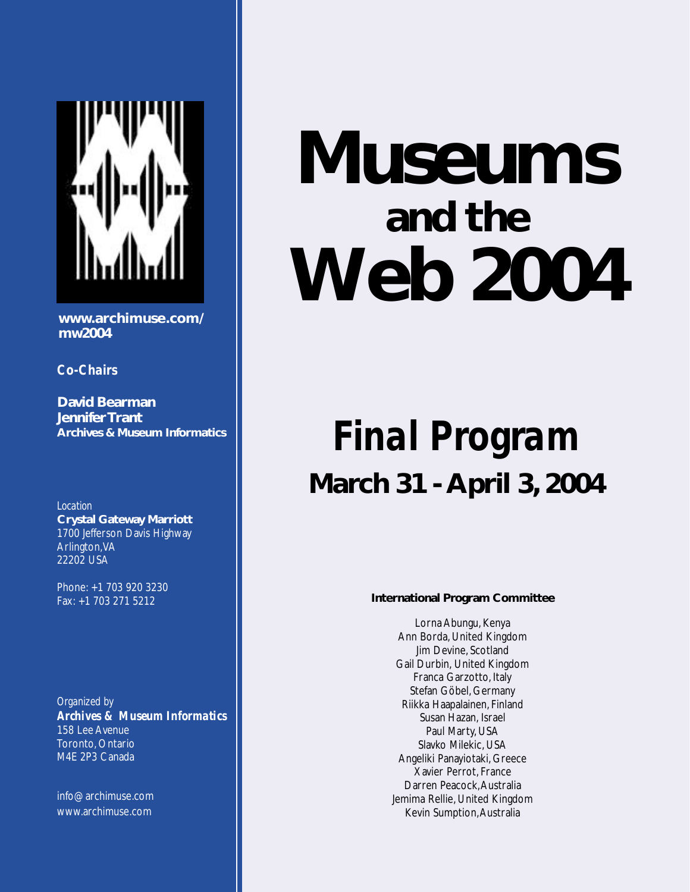

**www.archimuse.com/ mw2004**

*Co-Chairs*

**David Bearman Jennifer Trant Archives & Museum Informatics**

*Location* **Crystal Gateway Marriott** 1700 Jefferson Davis Highway Arlington, VA 22202 USA

Phone: +1 703 920 3230 Fax: +1 703 271 5212

*Organized by Archives & Museum Informatics* 158 Lee Avenue Toronto, Ontario M4E 2P3 Canada

info@archimuse.com www.archimuse.com

# **Museums and the Web 2004**

## *Final Program* **March 31 - April 3, 2004**

#### **International Program Committee**

Lorna Abungu, Kenya Ann Borda, United Kingdom Jim Devine, Scotland Gail Durbin, United Kingdom Franca Garzotto, Italy Stefan Göbel, Germany Riikka Haapalainen, Finland Susan Hazan, Israel Paul Marty, USA Slavko Milekic, USA Angeliki Panayiotaki, Greece Xavier Perrot, France Darren Peacock, Australia Jemima Rellie, United Kingdom Kevin Sumption, Australia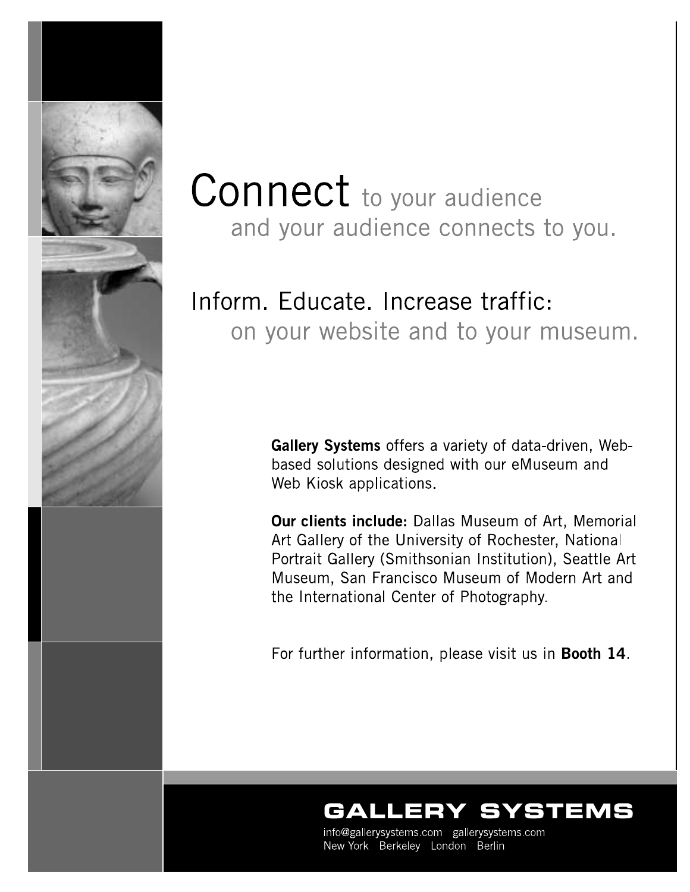

## **Connect** to your audience and your audience connects to you.

## Inform. Educate. Increase traffic: on your website and to your museum.

Gallery Systems offers a variety of data-driven, Webbased solutions designed with our eMuseum and Web Kiosk applications.

**Our clients include:** Dallas Museum of Art. Memorial Art Gallery of the University of Rochester, National Portrait Gallery (Smithsonian Institution), Seattle Art Museum, San Francisco Museum of Modern Art and the International Center of Photography.

For further information, please visit us in Booth 14.

## YSTEMS

info@gallerysystems.com gallerysystems.com New York Berkeley London Berlin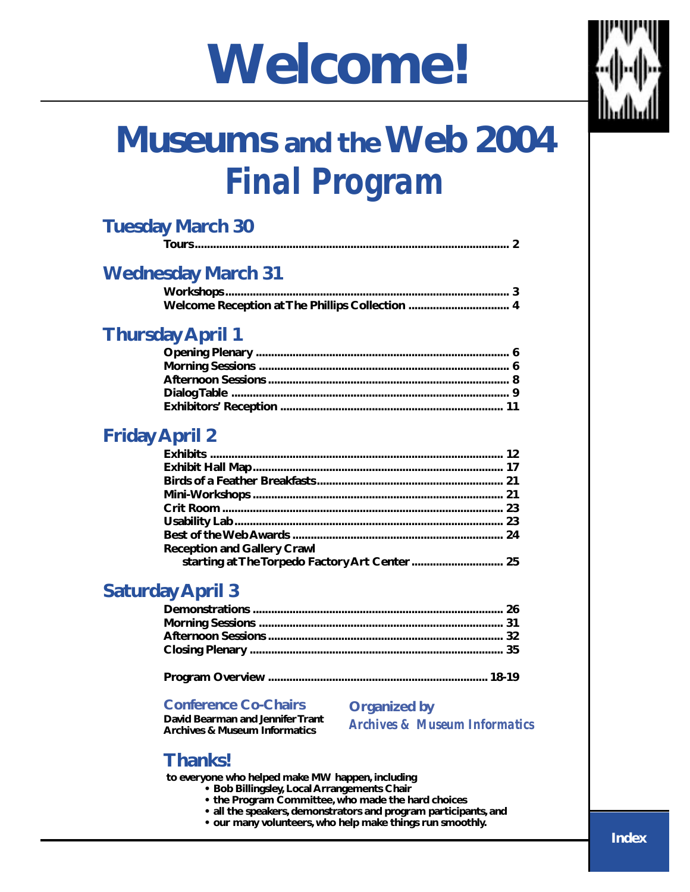## **Welcome!**



## **Museums and the Web 2004** *Final Program*

| <b>Tuesday March 30</b>   |  |
|---------------------------|--|
|                           |  |
| <b>Wednesday March 31</b> |  |
|                           |  |
|                           |  |
|                           |  |

## **Thursday April 1**

## **Friday April 2**

| <b>Reception and Gallery Crawl</b> |  |
|------------------------------------|--|
|                                    |  |

## **Saturday April 3**

#### **Conference Co-Chairs**

**David Bearman and Jennifer Trant**

**Organized by**

**Archives & Museum Informatics**

*Archives & Museum Informatics*

## **Thanks!**

 **to everyone who helped make MW happen, including**

- **Bob Billingsley, Local Arrangements Chair**
- **the Program Committee, who made the hard choices**
- **all the speakers, demonstrators and program participants, and**
- **our many volunteers, who help make things run smoothly.**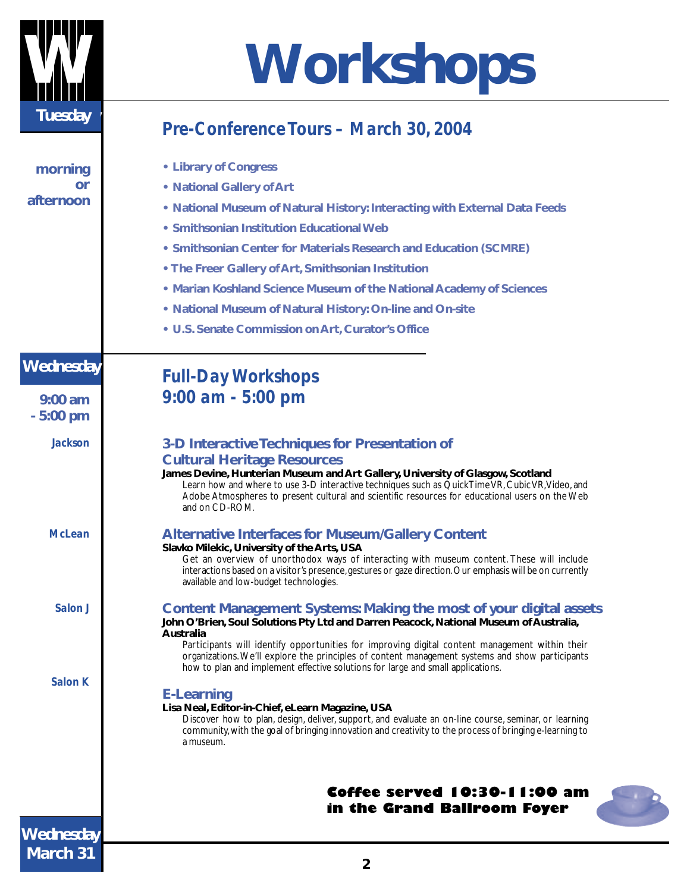

# **Workshops**

## *Pre-Conference Tours – March 30, 2004*

| morning          | • Library of Congress                                                                                                                                                                                                                                                                                    |
|------------------|----------------------------------------------------------------------------------------------------------------------------------------------------------------------------------------------------------------------------------------------------------------------------------------------------------|
| or<br>afternoon  | • National Gallery of Art                                                                                                                                                                                                                                                                                |
|                  | • National Museum of Natural History: Interacting with External Data Feeds                                                                                                                                                                                                                               |
|                  | • Smithsonian Institution Educational Web                                                                                                                                                                                                                                                                |
|                  | • Smithsonian Center for Materials Research and Education (SCMRE)                                                                                                                                                                                                                                        |
|                  | • The Freer Gallery of Art, Smithsonian Institution                                                                                                                                                                                                                                                      |
|                  | • Marian Koshland Science Museum of the National Academy of Sciences                                                                                                                                                                                                                                     |
|                  | • National Museum of Natural History: On-line and On-site                                                                                                                                                                                                                                                |
|                  | • U.S. Senate Commission on Art, Curator's Office                                                                                                                                                                                                                                                        |
| <b>Wednesday</b> | <b>Full-Day Workshops</b>                                                                                                                                                                                                                                                                                |
| $9:00$ am        | $9:00$ am - 5:00 pm                                                                                                                                                                                                                                                                                      |
| $-5:00$ pm       |                                                                                                                                                                                                                                                                                                          |
| <b>Jackson</b>   | 3-D Interactive Techniques for Presentation of                                                                                                                                                                                                                                                           |
|                  | <b>Cultural Heritage Resources</b>                                                                                                                                                                                                                                                                       |
|                  | James Devine, Hunterian Museum and Art Gallery, University of Glasgow, Scotland<br>Learn how and where to use 3-D interactive techniques such as QuickTime VR, Cubic VR, Video, and<br>Adobe Atmospheres to present cultural and scientific resources for educational users on the Web<br>and on CD-ROM. |
| <b>McLean</b>    | <b>Alternative Interfaces for Museum/Gallery Content</b>                                                                                                                                                                                                                                                 |
|                  | Slavko Milekic, University of the Arts, USA<br>Get an overview of unorthodox ways of interacting with museum content. These will include                                                                                                                                                                 |
|                  | interactions based on a visitor's presence, gestures or gaze direction. Our emphasis will be on currently<br>available and low-budget technologies.                                                                                                                                                      |
| Salon J          | Content Management Systems: Making the most of your digital assets<br>John O'Brien, Soul Solutions Pty Ltd and Darren Peacock, National Museum of Australia,                                                                                                                                             |
|                  | Australia<br>Participants will identify opportunities for improving digital content management within their                                                                                                                                                                                              |
|                  | organizations. We'll explore the principles of content management systems and show participants<br>how to plan and implement effective solutions for large and small applications.                                                                                                                       |
| <b>Salon K</b>   | <b>E-Learning</b>                                                                                                                                                                                                                                                                                        |
|                  | Lisa Neal, Editor-in-Chief, eLearn Magazine, USA                                                                                                                                                                                                                                                         |
|                  | Discover how to plan, design, deliver, support, and evaluate an on-line course, seminar, or learning<br>community, with the goal of bringing innovation and creativity to the process of bringing e-learning to<br>a museum.                                                                             |
|                  |                                                                                                                                                                                                                                                                                                          |
|                  | Coffee served 10:30-11:00 am<br>in the Grand Ballroom Foyer                                                                                                                                                                                                                                              |
| <b>Wednesday</b> |                                                                                                                                                                                                                                                                                                          |
| March 31         |                                                                                                                                                                                                                                                                                                          |

**2**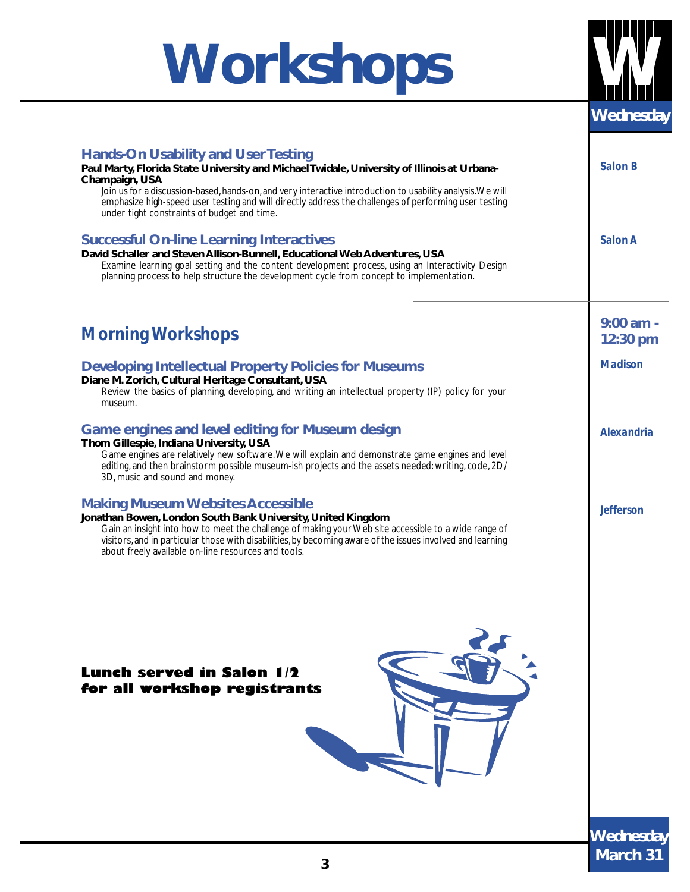## **Workshops**



| <b>Hands-On Usability and User Testing</b><br>Paul Marty, Florida State University and Michael Twidale, University of Illinois at Urbana-<br>Champaign, USA<br>Join us for a discussion-based, hands-on, and very interactive introduction to usability analysis. We will<br>emphasize high-speed user testing and will directly address the challenges of performing user testing<br>under tight constraints of budget and time. | <b>Salon B</b>   |
|-----------------------------------------------------------------------------------------------------------------------------------------------------------------------------------------------------------------------------------------------------------------------------------------------------------------------------------------------------------------------------------------------------------------------------------|------------------|
| <b>Successful On-line Learning Interactives</b><br>David Schaller and Steven Allison-Bunnell, Educational Web Adventures, USA<br>Examine learning goal setting and the content development process, using an Interactivity Design<br>planning process to help structure the development cycle from concept to implementation.                                                                                                     | Salon A          |
| <b>Morning Workshops</b>                                                                                                                                                                                                                                                                                                                                                                                                          | $9:00$ am -      |
|                                                                                                                                                                                                                                                                                                                                                                                                                                   | 12:30 pm         |
| <b>Developing Intellectual Property Policies for Museums</b><br>Diane M. Zorich, Cultural Heritage Consultant, USA<br>Review the basics of planning, developing, and writing an intellectual property (IP) policy for your<br>museum.                                                                                                                                                                                             | <b>Madison</b>   |
| Game engines and level editing for Museum design<br>Thom Gillespie, Indiana University, USA<br>Game engines are relatively new software. We will explain and demonstrate game engines and level<br>editing, and then brainstorm possible museum-ish projects and the assets needed: writing, code, 2D/<br>3D, music and sound and money.                                                                                          | Alexandria       |
| <b>Making Museum Websites Accessible</b><br>Jonathan Bowen, London South Bank University, United Kingdom<br>Gain an insight into how to meet the challenge of making your Web site accessible to a wide range of<br>visitors, and in particular those with disabilities, by becoming aware of the issues involved and learning<br>about freely available on-line resources and tools.                                             | <b>Jefferson</b> |
|                                                                                                                                                                                                                                                                                                                                                                                                                                   |                  |
| <b>Lunch served in Salon 1/2</b><br>for all workshop registrants                                                                                                                                                                                                                                                                                                                                                                  |                  |
|                                                                                                                                                                                                                                                                                                                                                                                                                                   | <b>Wednesday</b> |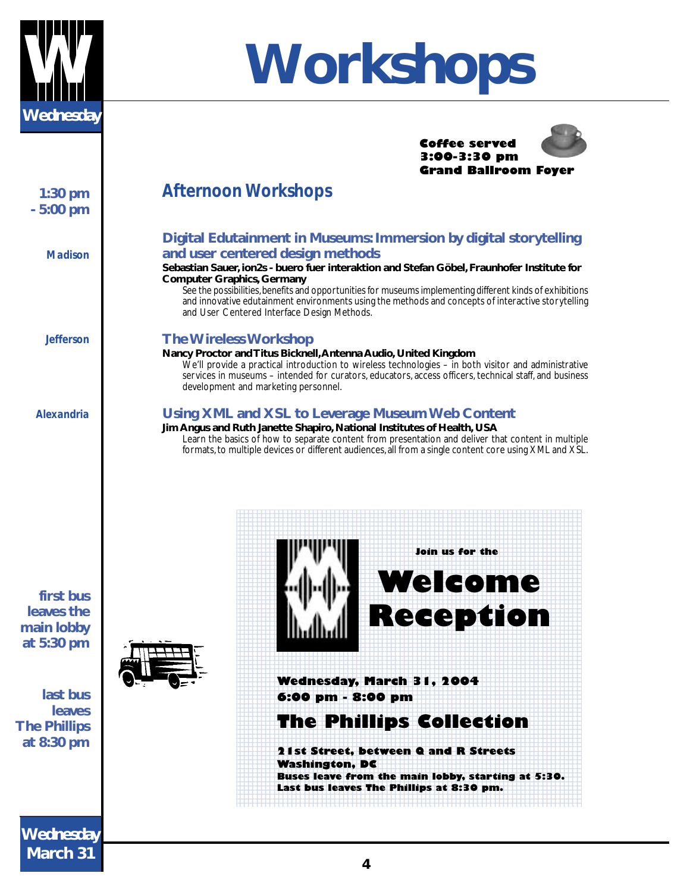

**1:30 pm - 5:00 pm**

*Madison*

*Jefferson*

*Alexandria*

# **Workshops**

#### **Coffee served 3:00-3:30 pm Grand Ballroom Foyer**

### *Afternoon Workshops*

#### **Digital Edutainment in Museums: Immersion by digital storytelling and user centered design methods**

#### **Sebastian Sauer, ion2s - buero fuer interaktion and Stefan Göbel, Fraunhofer Institute for Computer Graphics, Germany**

See the possibilities, benefits and opportunities for museums implementing different kinds of exhibitions and innovative edutainment environments using the methods and concepts of interactive storytelling and User Centered Interface Design Methods.

#### **The Wireless Workshop**

#### **Nancy Proctor and Titus Bicknell, Antenna Audio, United Kingdom**

We'll provide a practical introduction to wireless technologies – in both visitor and administrative services in museums - intended for curators, educators, access officers, technical staff, and business development and marketing personnel.

#### **Using XML and XSL to Leverage Museum Web Content**

#### **Jim Angus and Ruth Janette Shapiro, National Institutes of Health, USA**

Learn the basics of how to separate content from presentation and deliver that content in multiple formats, to multiple devices or different audiences, all from a single content core using XML and XSL.



**last bus leaves The Phillips at 8:30 pm**





**Wednesday March 31**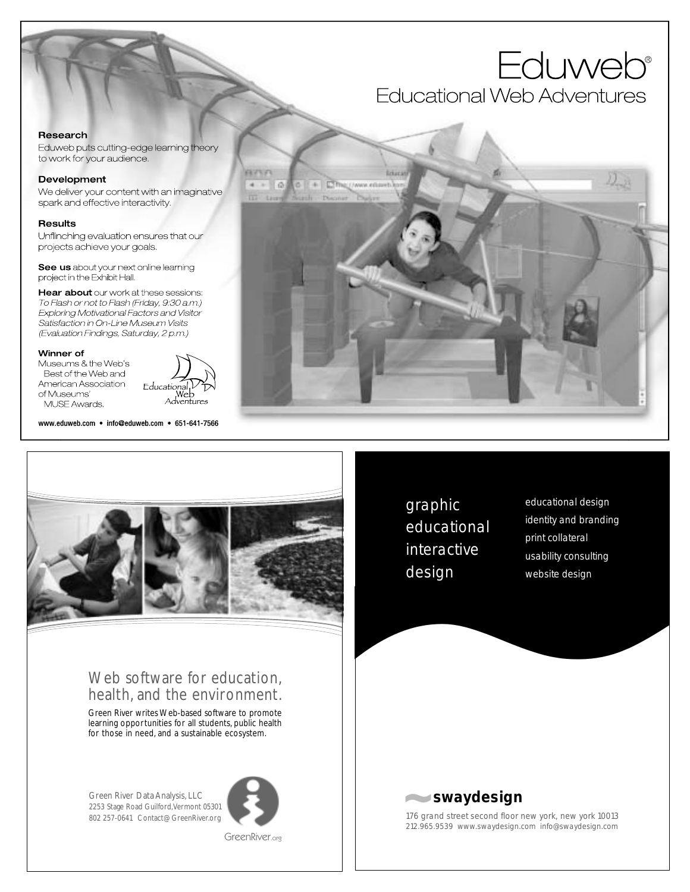## **Eduweb**<sup>®</sup> Educational Web Adventures

#### Research

Eduweb puts cutting-edge learning theory to work for your audience.

#### Development

We deliver your content with an imaginative spark and effective interactivity.

#### **Results**

Unflinching evaluation ensures that our projects achieve your goals.

See us about your next online learning project in the Exhibit Hall.

Hear about our work at these sessions: To Flash or not to Flash (Friday, 9:30 a.m.) Exploring Motivational Factors and Visitor Satisfaction in On-Line Museum Visits (Evaluation Findings, Saturday, 2 p.m.)

#### Winner of

Museums & the Web's Best of the Web and American Association of Museums' MUSE Awards.

Educational Web Adventures

www.eduweb.com • info@eduweb.com • 651-641-7566



### Web software for education, health, and the environment.

Green River writes Web-based software to promote learning opportunities for all students, public health for those in need, and a sustainable ecosystem.

Green River Data Analysis, LLC 2253 Stage Road Guilford, Vermont 05301 802 257-0641 Contact@GreenRiver.org



GreenRiver.org



graphic educational interactive design

educational design identity and branding print collateral usability consulting website design



176 grand street second floor new york, new york 10013 212.965.9539 www.swaydesign.com info@swaydesign.com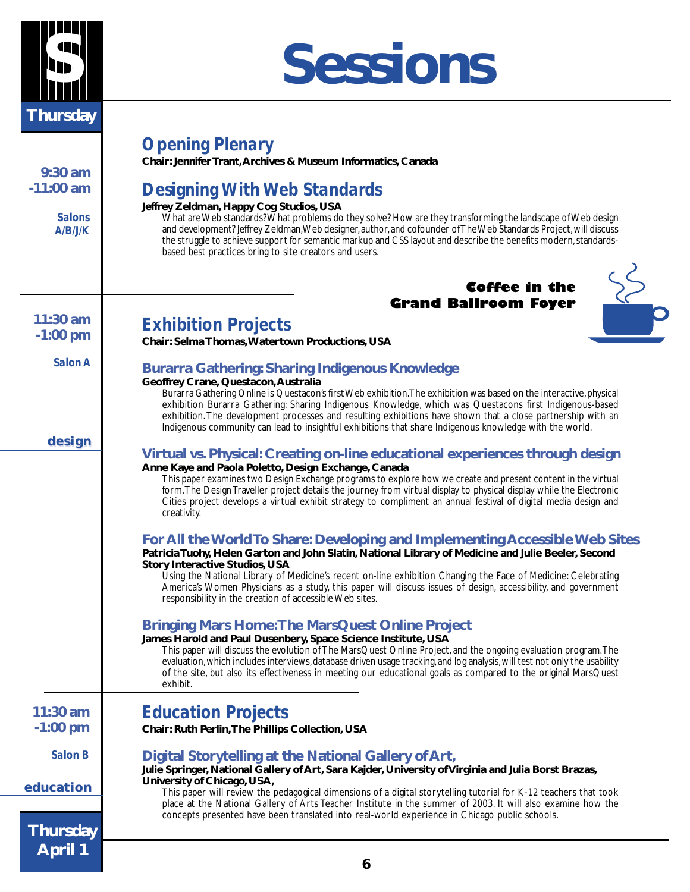

## **S Sessions**

| $9:30$ am<br>$-11:00$ am<br><b>Salons</b><br>A/B/J/K | <b>Opening Plenary</b><br>Chair: Jennifer Trant, Archives & Museum Informatics, Canada<br><b>Designing With Web Standards</b><br>Jeffrey Zeldman, Happy Cog Studios, USA<br>What are Web standards? What problems do they solve? How are they transforming the landscape of Web design<br>and development? Jeffrey Zeldman, Web designer, author, and cofounder of The Web Standards Project, will discuss<br>the struggle to achieve support for semantic markup and CSS layout and describe the benefits modern, standards-<br>based best practices bring to site creators and users. |
|------------------------------------------------------|-----------------------------------------------------------------------------------------------------------------------------------------------------------------------------------------------------------------------------------------------------------------------------------------------------------------------------------------------------------------------------------------------------------------------------------------------------------------------------------------------------------------------------------------------------------------------------------------|
|                                                      |                                                                                                                                                                                                                                                                                                                                                                                                                                                                                                                                                                                         |
|                                                      | <b>Coffee in the</b>                                                                                                                                                                                                                                                                                                                                                                                                                                                                                                                                                                    |
| 11:30 am                                             | <b>Grand Ballroom Foyer</b>                                                                                                                                                                                                                                                                                                                                                                                                                                                                                                                                                             |
| $-1:00$ pm                                           | <b>Exhibition Projects</b><br>Chair: Selma Thomas, Watertown Productions, USA                                                                                                                                                                                                                                                                                                                                                                                                                                                                                                           |
| Salon A                                              |                                                                                                                                                                                                                                                                                                                                                                                                                                                                                                                                                                                         |
|                                                      | <b>Burarra Gathering: Sharing Indigenous Knowledge</b><br>Geoffrey Crane, Questacon, Australia                                                                                                                                                                                                                                                                                                                                                                                                                                                                                          |
|                                                      | Burarra Gathering Online is Questacon's first Web exhibition. The exhibition was based on the interactive, physical<br>exhibition Burarra Gathering: Sharing Indigenous Knowledge, which was Questacons first Indigenous-based<br>exhibition. The development processes and resulting exhibitions have shown that a close partnership with an<br>Indigenous community can lead to insightful exhibitions that share Indigenous knowledge with the world.                                                                                                                                |
| design                                               | Virtual vs. Physical: Creating on-line educational experiences through design                                                                                                                                                                                                                                                                                                                                                                                                                                                                                                           |
|                                                      | Anne Kaye and Paola Poletto, Design Exchange, Canada<br>This paper examines two Design Exchange programs to explore how we create and present content in the virtual<br>form. The Design Traveller project details the journey from virtual display to physical display while the Electronic<br>Cities project develops a virtual exhibit strategy to compliment an annual festival of digital media design and<br>creativity.                                                                                                                                                          |
|                                                      | For All the World To Share: Developing and Implementing Accessible Web Sites<br>Patricia Tuohy, Helen Garton and John Slatin, National Library of Medicine and Julie Beeler, Second<br><b>Story Interactive Studios, USA</b><br>Using the National Library of Medicine's recent on-line exhibition Changing the Face of Medicine: Celebrating<br>America's Women Physicians as a study, this paper will discuss issues of design, accessibility, and government<br>responsibility in the creation of accessible Web sites.                                                              |
|                                                      | <b>Bringing Mars Home: The MarsQuest Online Project</b><br>James Harold and Paul Dusenbery, Space Science Institute, USA<br>This paper will discuss the evolution of The MarsQuest Online Project, and the ongoing evaluation program. The<br>evaluation, which includes interviews, database driven usage tracking, and log analysis, will test not only the usability<br>of the site, but also its effectiveness in meeting our educational goals as compared to the original MarsQuest<br>exhibit.                                                                                   |
| $11:30$ am<br>$-1:00$ pm                             | <b>Education Projects</b><br>Chair: Ruth Perlin, The Phillips Collection, USA                                                                                                                                                                                                                                                                                                                                                                                                                                                                                                           |
| Salon B                                              | Digital Storytelling at the National Gallery of Art,                                                                                                                                                                                                                                                                                                                                                                                                                                                                                                                                    |
| education                                            | Julie Springer, National Gallery of Art, Sara Kajder, University of Virginia and Julia Borst Brazas,<br>University of Chicago, USA,<br>This paper will review the pedagogical dimensions of a digital storytelling tutorial for K-12 teachers that took<br>place at the National Gallery of Arts Teacher Institute in the summer of 2003. It will also examine how the                                                                                                                                                                                                                  |
|                                                      | concepts presented have been translated into real-world experience in Chicago public schools.                                                                                                                                                                                                                                                                                                                                                                                                                                                                                           |
| <b>Thursday</b>                                      |                                                                                                                                                                                                                                                                                                                                                                                                                                                                                                                                                                                         |
| <b>April 1</b>                                       |                                                                                                                                                                                                                                                                                                                                                                                                                                                                                                                                                                                         |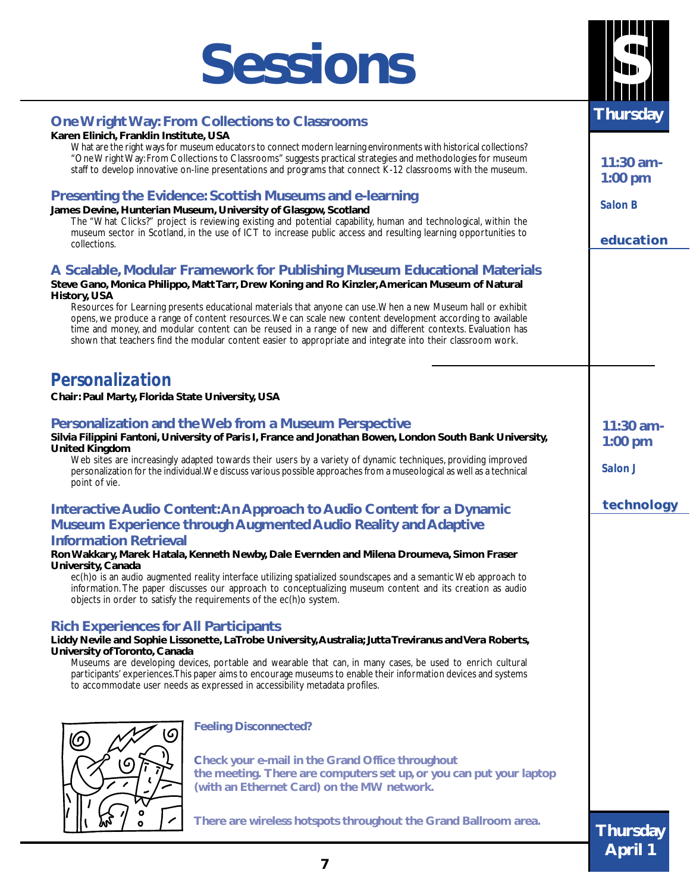## **Sessions**

#### **One Wright Way: From Collections to Classrooms**

#### **Karen Elinich, Franklin Institute, USA**

What are the right ways for museum educators to connect modern learning environments with historical collections? "One Wright Way: From Collections to Classrooms" suggests practical strategies and methodologies for museum staff to develop innovative on-line presentations and programs that connect K-12 classrooms with the museum.

#### **Presenting the Evidence: Scottish Museums and e-learning**

**James Devine, Hunterian Museum, University of Glasgow, Scotland**

The "What Clicks?" project is reviewing existing and potential capability, human and technological, within the museum sector in Scotland, in the use of ICT to increase public access and resulting learning opportunities to collections.

#### **A Scalable, Modular Framework for Publishing Museum Educational Materials**

#### **Steve Gano, Monica Philippo, Matt Tarr, Drew Koning and Ro Kinzler, American Museum of Natural History, USA**

Resources for Learning presents educational materials that anyone can use. When a new Museum hall or exhibit opens, we produce a range of content resources. We can scale new content development according to available time and money, and modular content can be reused in a range of new and different contexts. Evaluation has shown that teachers find the modular content easier to appropriate and integrate into their classroom work.

### *Personalization*

**Chair: Paul Marty, Florida State University, USA**

#### **Personalization and the Web from a Museum Perspective**

#### **Silvia Filippini Fantoni, University of Paris I, France and Jonathan Bowen, London South Bank University, United Kingdom** Web sites are increasingly adapted towards their users by a variety of dynamic techniques, providing improved

personalization for the individual. We discuss various possible approaches from a museological as well as a technical point of vie.

### **Interactive Audio Content: An Approach to Audio Content for a Dynamic Museum Experience through Augmented Audio Reality and Adaptive**

#### **Information Retrieval**

#### **Ron Wakkary, Marek Hatala, Kenneth Newby, Dale Evernden and Milena Droumeva, Simon Fraser University, Canada**

ec(h)o is an audio augmented reality interface utilizing spatialized soundscapes and a semantic Web approach to information. The paper discusses our approach to conceptualizing museum content and its creation as audio objects in order to satisfy the requirements of the ec(h)o system.

#### **Rich Experiences for All Participants**

**Liddy Nevile and Sophie Lissonette, LaTrobe University, Australia; Jutta Treviranus and Vera Roberts, University of Toronto, Canada**

Museums are developing devices, portable and wearable that can, in many cases, be used to enrich cultural participants' experiences. This paper aims to encourage museums to enable their information devices and systems to accommodate user needs as expressed in accessibility metadata profiles.



**Feeling Disconnected?**

**Check your e-mail in the Grand Office throughout the meeting. There are computers set up, or you can put your laptop (with an Ethernet Card) on the MW network.**

**There are wireless hotspots throughout the Grand Ballroom area.**



**Thursday**

**11:30 am-1:00 pm**

*Salon B*

**education**

**11:30 am-1:00 pm**

**technology technology**

*Salon J*

**S**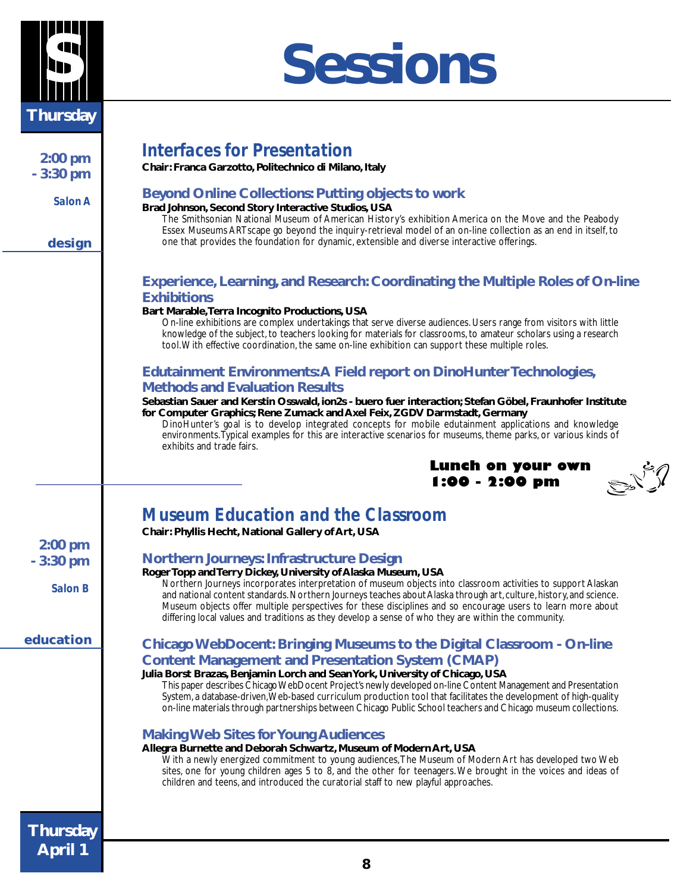

## **S Sessions**

|                 | <b>Interfaces for Presentation</b>                                                                                                                                                                                                 |
|-----------------|------------------------------------------------------------------------------------------------------------------------------------------------------------------------------------------------------------------------------------|
| $2:00$ pm       |                                                                                                                                                                                                                                    |
| $-3:30$ pm      | Chair: Franca Garzotto, Politechnico di Milano, Italy                                                                                                                                                                              |
|                 | <b>Beyond Online Collections: Putting objects to work</b>                                                                                                                                                                          |
| Salon A         | Brad Johnson, Second Story Interactive Studios, USA                                                                                                                                                                                |
|                 | The Smithsonian National Museum of American History's exhibition America on the Move and the Peabody                                                                                                                               |
|                 | Essex Museums ARTscape go beyond the inquiry-retrieval model of an on-line collection as an end in itself, to                                                                                                                      |
| design          | one that provides the foundation for dynamic, extensible and diverse interactive offerings.                                                                                                                                        |
|                 |                                                                                                                                                                                                                                    |
|                 |                                                                                                                                                                                                                                    |
|                 | <b>Experience, Learning, and Research: Coordinating the Multiple Roles of On-line</b>                                                                                                                                              |
|                 | <b>Exhibitions</b>                                                                                                                                                                                                                 |
|                 | Bart Marable, Terra Incognito Productions, USA<br>On-line exhibitions are complex undertakings that serve diverse audiences. Users range from visitors with little                                                                 |
|                 | knowledge of the subject, to teachers looking for materials for classrooms, to amateur scholars using a research                                                                                                                   |
|                 | tool. With effective coordination, the same on-line exhibition can support these multiple roles.                                                                                                                                   |
|                 |                                                                                                                                                                                                                                    |
|                 | Edutainment Environments: A Field report on DinoHunter Technologies,                                                                                                                                                               |
|                 | <b>Methods and Evaluation Results</b>                                                                                                                                                                                              |
|                 | Sebastian Sauer and Kerstin Osswald, ion2s - buero fuer interaction; Stefan Göbel, Fraunhofer Institute                                                                                                                            |
|                 | for Computer Graphics; Rene Zumack and Axel Feix, ZGDV Darmstadt, Germany                                                                                                                                                          |
|                 | DinoHunter's goal is to develop integrated concepts for mobile edutainment applications and knowledge<br>environments. Typical examples for this are interactive scenarios for museums, theme parks, or various kinds of           |
|                 | exhibits and trade fairs.                                                                                                                                                                                                          |
|                 | Lunch on your own                                                                                                                                                                                                                  |
|                 | 1:00 - 2:00 pm                                                                                                                                                                                                                     |
|                 |                                                                                                                                                                                                                                    |
|                 |                                                                                                                                                                                                                                    |
|                 | <b>Museum Education and the Classroom</b>                                                                                                                                                                                          |
|                 | Chair: Phyllis Hecht, National Gallery of Art, USA                                                                                                                                                                                 |
| $2:00$ pm       |                                                                                                                                                                                                                                    |
| $-3:30$ pm      | <b>Northern Journeys: Infrastructure Design</b>                                                                                                                                                                                    |
|                 | Roger Topp and Terry Dickey, University of Alaska Museum, USA                                                                                                                                                                      |
| <b>Salon B</b>  | Northern Journeys incorporates interpretation of museum objects into classroom activities to support Alaskan<br>and national content standards. Northern Journeys teaches about Alaska through art, culture, history, and science. |
|                 | Museum objects offer multiple perspectives for these disciplines and so encourage users to learn more about                                                                                                                        |
|                 | differing local values and traditions as they develop a sense of who they are within the community.                                                                                                                                |
| education       |                                                                                                                                                                                                                                    |
|                 | Chicago WebDocent: Bringing Museums to the Digital Classroom - On-line                                                                                                                                                             |
|                 | <b>Content Management and Presentation System (CMAP)</b>                                                                                                                                                                           |
|                 | Julia Borst Brazas, Benjamin Lorch and Sean York, University of Chicago, USA                                                                                                                                                       |
|                 | This paper describes Chicago WebDocent Project's newly developed on-line Content Management and Presentation<br>System, a database-driven, Web-based curriculum production tool that facilitates the development of high-quality   |
|                 | on-line materials through partnerships between Chicago Public School teachers and Chicago museum collections.                                                                                                                      |
|                 |                                                                                                                                                                                                                                    |
|                 | <b>Making Web Sites for Young Audiences</b>                                                                                                                                                                                        |
|                 | Allegra Burnette and Deborah Schwartz, Museum of Modern Art, USA                                                                                                                                                                   |
|                 | With a newly energized commitment to young audiences, The Museum of Modern Art has developed two Web                                                                                                                               |
|                 | sites, one for young children ages 5 to 8, and the other for teenagers. We brought in the voices and ideas of<br>children and teens, and introduced the curatorial staff to new playful approaches.                                |
|                 |                                                                                                                                                                                                                                    |
|                 |                                                                                                                                                                                                                                    |
|                 |                                                                                                                                                                                                                                    |
| <b>Thursday</b> |                                                                                                                                                                                                                                    |
| <b>April 1</b>  |                                                                                                                                                                                                                                    |
|                 |                                                                                                                                                                                                                                    |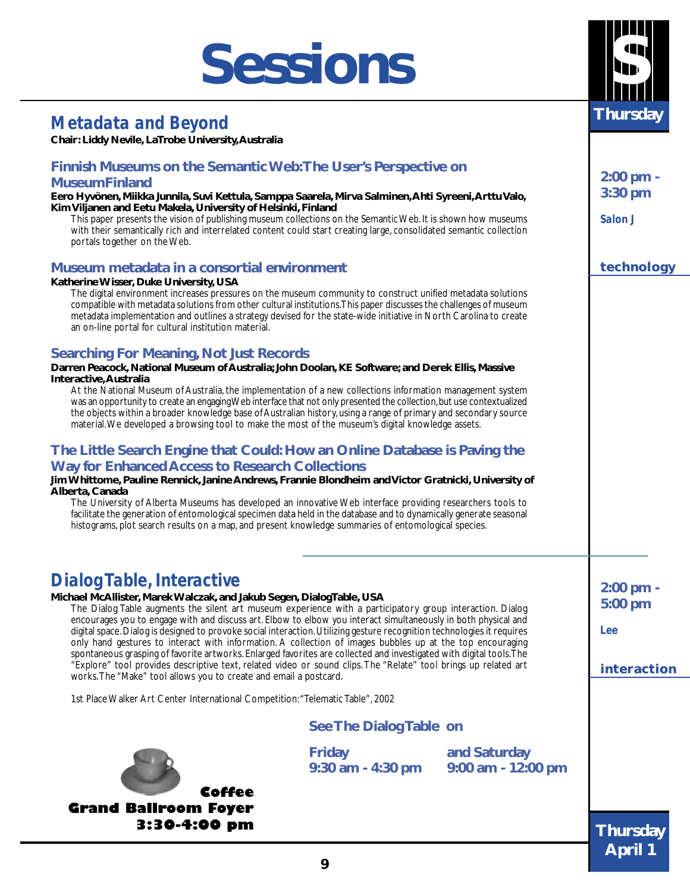## **Sessions**

## *Metadata and Beyond*

**Chair: Liddy Nevile, LaTrobe University, Australia**

#### **Finnish Museums on the Semantic Web: The User's Perspective on MuseumFinland**

**Eero Hyvönen, Miikka Junnila, Suvi Kettula, Samppa Saarela, Mirva Salminen, Ahti Syreeni, Arttu Valo, Kim Viljanen and Eetu Makela, University of Helsinki, Finland**

This paper presents the vision of publishing museum collections on the Semantic Web. It is shown how museums with their semantically rich and interrelated content could start creating large, consolidated semantic collection portals together on the Web.

#### **Museum metadata in a consortial environment**

#### **Katherine Wisser, Duke University, USA**

The digital environment increases pressures on the museum community to construct unified metadata solutions compatible with metadata solutions from other cultural institutions. This paper discusses the challenges of museum metadata implementation and outlines a strategy devised for the state-wide initiative in North Carolina to create an on-line portal for cultural institution material.

#### **Searching For Meaning, Not Just Records**

**Darren Peacock, National Museum of Australia; John Doolan, KE Software; and Derek Ellis, Massive Interactive, Australia**

At the National Museum of Australia, the implementation of a new collections information management system was an opportunity to create an engaging Web interface that not only presented the collection, but use contextualized the objects within a broader knowledge base of Australian history, using a range of primary and secondary source material. We developed a browsing tool to make the most of the museum's digital knowledge assets.

#### **The Little Search Engine that Could: How an Online Database is Paving the Way for Enhanced Access to Research Collections**

**Jim Whittome, Pauline Rennick, Janine Andrews, Frannie Blondheim and Victor Gratnicki, University of Alberta, Canada**

The University of Alberta Museums has developed an innovative Web interface providing researchers tools to facilitate the generation of entomological specimen data held in the database and to dynamically generate seasonal histograms, plot search results on a map, and present knowledge summaries of entomological species.

### *Dialog Table, Interactive*

**Michael McAllister, Marek Walczak, and Jakub Segen, DialogTable, USA** The Dialog Table augments the silent art museum experience with a participatory group interaction. Dialog encourages you to engage with and discuss art. Elbow to elbow you interact simultaneously in both physical and digital space. Dialog is designed to provoke social interaction. Utilizing gesture recognition technologies it requires only hand gestures to interact with information. A collection of images bubbles up at the top encouraging spontaneous grasping of favorite artworks. Enlarged favorites are collected and investigated with digital tools. The "Explore" tool provides descriptive text, related video or sound clips. The "Relate" tool brings up related art works. The "Make" tool allows you to create and email a postcard.

1st Place Walker Art Center International Competition: "Telematic Table", 2002

#### **See The Dialog Table on**

**and Saturday**

**9:00 am - 12:00 pm**

**9:30 am - 4:30 pm**

**Coffee Grand Ballroom Foyer 3:30-4:00 pm** **2:00 pm - 5:00 pm**

**interaction interaction**

*Lee*



**3:30 pm**

**2:00 pm -**

*Salon J*

#### **technology technology**



**Friday**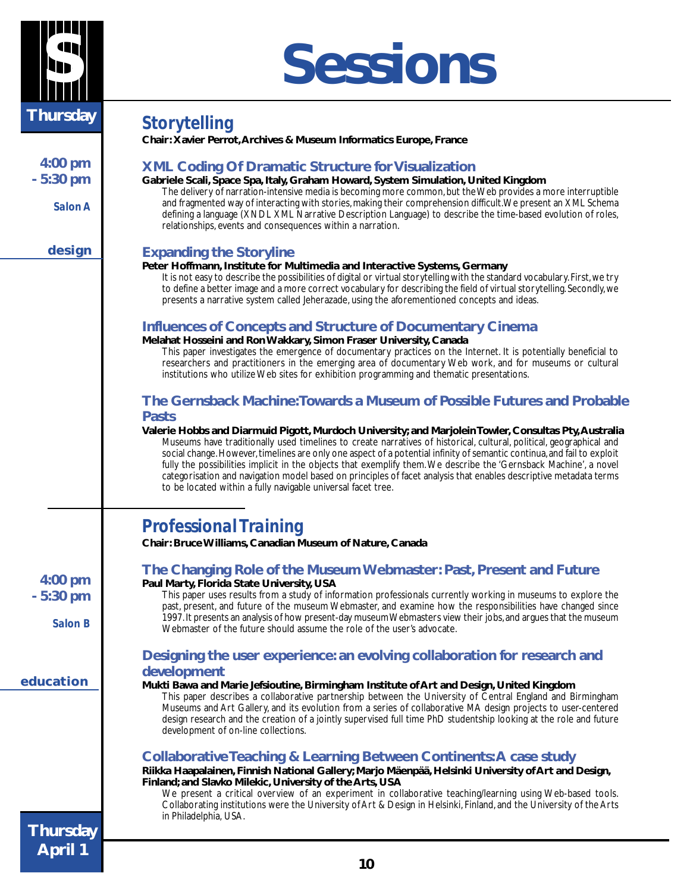

## **S Sessions**

| <b>Thursday</b> | <b>Storytelling</b>                                                                                                                                                                                                                                                                                                                                                                                                                                                                                                                                                                                                                                               |
|-----------------|-------------------------------------------------------------------------------------------------------------------------------------------------------------------------------------------------------------------------------------------------------------------------------------------------------------------------------------------------------------------------------------------------------------------------------------------------------------------------------------------------------------------------------------------------------------------------------------------------------------------------------------------------------------------|
|                 | Chair: Xavier Perrot, Archives & Museum Informatics Europe, France                                                                                                                                                                                                                                                                                                                                                                                                                                                                                                                                                                                                |
| $4:00$ pm       | <b>XML Coding Of Dramatic Structure for Visualization</b>                                                                                                                                                                                                                                                                                                                                                                                                                                                                                                                                                                                                         |
| $-5:30$ pm      | Gabriele Scali, Space Spa, Italy, Graham Howard, System Simulation, United Kingdom<br>The delivery of narration-intensive media is becoming more common, but the Web provides a more interruptible                                                                                                                                                                                                                                                                                                                                                                                                                                                                |
| Salon A         | and fragmented way of interacting with stories, making their comprehension difficult. We present an XML Schema<br>defining a language (XNDL XML Narrative Description Language) to describe the time-based evolution of roles,<br>relationships, events and consequences within a narration.                                                                                                                                                                                                                                                                                                                                                                      |
| design          | <b>Expanding the Storyline</b>                                                                                                                                                                                                                                                                                                                                                                                                                                                                                                                                                                                                                                    |
|                 | Peter Hoffmann, Institute for Multimedia and Interactive Systems, Germany<br>It is not easy to describe the possibilities of digital or virtual storytelling with the standard vocabulary. First, we try<br>to define a better image and a more correct vocabulary for describing the field of virtual storytelling. Secondly, we<br>presents a narrative system called Jeherazade, using the aforementioned concepts and ideas.                                                                                                                                                                                                                                  |
|                 | <b>Influences of Concepts and Structure of Documentary Cinema</b>                                                                                                                                                                                                                                                                                                                                                                                                                                                                                                                                                                                                 |
|                 | Melahat Hosseini and Ron Wakkary, Simon Fraser University, Canada<br>This paper investigates the emergence of documentary practices on the Internet. It is potentially beneficial to<br>researchers and practitioners in the emerging area of documentary Web work, and for museums or cultural<br>institutions who utilize Web sites for exhibition programming and thematic presentations.                                                                                                                                                                                                                                                                      |
|                 | The Gernsback Machine: Towards a Museum of Possible Futures and Probable<br><b>Pasts</b>                                                                                                                                                                                                                                                                                                                                                                                                                                                                                                                                                                          |
|                 | Valerie Hobbs and Diarmuid Pigott, Murdoch University; and Marjolein Towler, Consultas Pty, Australia<br>Museums have traditionally used timelines to create narratives of historical, cultural, political, geographical and<br>social change. However, timelines are only one aspect of a potential infinity of semantic continua, and fail to exploit<br>fully the possibilities implicit in the objects that exemplify them. We describe the 'Gernsback Machine', a novel<br>categorisation and navigation model based on principles of facet analysis that enables descriptive metadata terms<br>to be located within a fully navigable universal facet tree. |
|                 | <b>Professional Training</b><br>Chair: Bruce Williams, Canadian Museum of Nature, Canada                                                                                                                                                                                                                                                                                                                                                                                                                                                                                                                                                                          |
| $4:00$ pm       | The Changing Role of the Museum Webmaster: Past, Present and Future<br>Paul Marty, Florida State University, USA                                                                                                                                                                                                                                                                                                                                                                                                                                                                                                                                                  |
| $-5:30$ pm      | This paper uses results from a study of information professionals currently working in museums to explore the<br>past, present, and future of the museum Webmaster, and examine how the responsibilities have changed since                                                                                                                                                                                                                                                                                                                                                                                                                                       |
| <b>Salon B</b>  | 1997. It presents an analysis of how present-day museum Webmasters view their jobs, and argues that the museum<br>Webmaster of the future should assume the role of the user's advocate.                                                                                                                                                                                                                                                                                                                                                                                                                                                                          |
|                 | Designing the user experience: an evolving collaboration for research and<br>development                                                                                                                                                                                                                                                                                                                                                                                                                                                                                                                                                                          |
| education       | Mukti Bawa and Marie Jefsioutine, Birmingham Institute of Art and Design, United Kingdom<br>This paper describes a collaborative partnership between the University of Central England and Birmingham<br>Museums and Art Gallery, and its evolution from a series of collaborative MA design projects to user-centered<br>design research and the creation of a jointly supervised full time PhD studentship looking at the role and future<br>development of on-line collections.                                                                                                                                                                                |
|                 | Collaborative Teaching & Learning Between Continents: A case study<br>Riikka Haapalainen, Finnish National Gallery; Marjo Mäenpää, Helsinki University of Art and Design,                                                                                                                                                                                                                                                                                                                                                                                                                                                                                         |
|                 | Finland; and Slavko Milekic, University of the Arts, USA<br>We present a critical overview of an experiment in collaborative teaching/learning using Web-based tools.<br>Collaborating institutions were the University of Art & Design in Helsinki, Finland, and the University of the Arts<br>in Philadelphia, USA.                                                                                                                                                                                                                                                                                                                                             |
| <b>Thursday</b> |                                                                                                                                                                                                                                                                                                                                                                                                                                                                                                                                                                                                                                                                   |
| <b>April 1</b>  |                                                                                                                                                                                                                                                                                                                                                                                                                                                                                                                                                                                                                                                                   |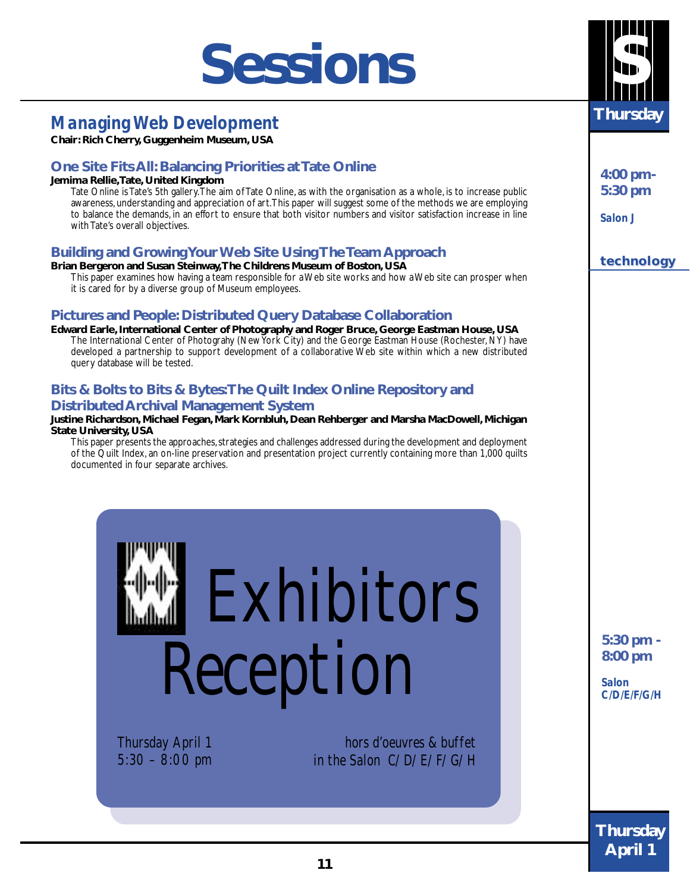## **Sessions**

## *Managing Web Development*

**Chair: Rich Cherry, Guggenheim Museum, USA**

#### **One Site Fits All: Balancing Priorities at Tate Online**

#### **Jemima Rellie, Tate, United Kingdom**

Tate Online is Tate's 5th gallery. The aim of Tate Online, as with the organisation as a whole, is to increase public awareness, understanding and appreciation of art. This paper will suggest some of the methods we are employing to balance the demands, in an effort to ensure that both visitor numbers and visitor satisfaction increase in line with Tate's overall objectives.

#### **Building and Growing Your Web Site Using The Team Approach**

#### **Brian Bergeron and Susan Steinway, The Childrens Museum of Boston, USA**

This paper examines how having a team responsible for a Web site works and how a Web site can prosper when it is cared for by a diverse group of Museum employees.

#### **Pictures and People: Distributed Query Database Collaboration**

**Edward Earle, International Center of Photography and Roger Bruce, George Eastman House, USA** The International Center of Photograhy (New York City) and the George Eastman House (Rochester, NY) have developed a partnership to support development of a collaborative Web site within which a new distributed query database will be tested.

#### **Bits & Bolts to Bits & Bytes: The Quilt Index Online Repository and Distributed Archival Management System**

#### **Justine Richardson, Michael Fegan, Mark Kornbluh, Dean Rehberger and Marsha MacDowell, Michigan State University, USA**

This paper presents the approaches, strategies and challenges addressed during the development and deployment of the Quilt Index, an on-line preservation and presentation project currently containing more than 1,000 quilts documented in four separate archives.



Thursday April 1 5:30 – 8:00 pm

hors d'oeuvres & buffet in the Salon C/D/E/F/G/H



**4:00 pm-5:30 pm**

*Salon J*

**technology technology**

**5:30 pm - 8:00 pm**

*Salon C/D/E/F/G/H*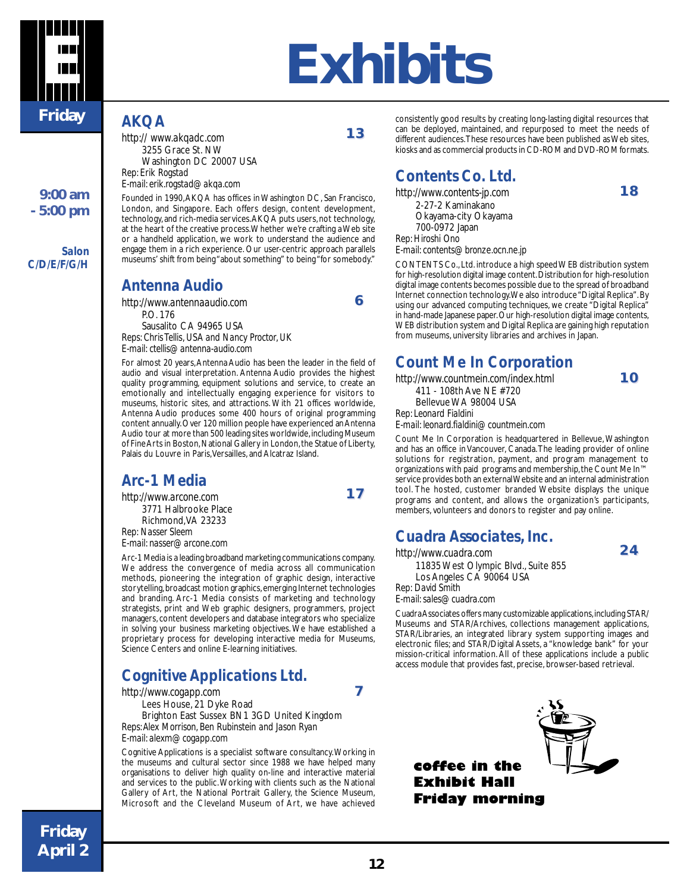

**9:00 am - 5:00 pm**

*Salon C/D/E/F/G/H*

# **E Exhibits**

**1 3** 

**6**

**1 7** 

**7**

consistently good results by creating long-lasting digital resources that can be deployed, maintained, and repurposed to meet the needs of different audiences. These resources have been published as Web sites, kiosks and as commercial products in CD-ROM and DVD-ROM formats.

### *Contents Co. Ltd.*

*http://www.contents-jp.com* 2-27-2 Kaminakano Okayama-city Okayama 700-0972 Japan *Rep: Hiroshi Ono E-mail: contents@bronze.ocn.ne.jp* **1 8** 

**1 0** 

**2 4** 

CONTENTS Co., Ltd. introduce a high speed WEB distribution system for high-resolution digital image content. Distribution for high-resolution digital image contents becomes possible due to the spread of broadband Internet connection technology. We also introduce "Digital Replica". By using our advanced computing techniques, we create "Digital Replica" in hand-made Japanese paper. Our high-resolution digital image contents, WEB distribution system and Digital Replica are gaining high reputation from museums, university libraries and archives in Japan.

### *Count Me In Corporation*

*http://www.countmein.com/index.html* 411 - 108th Ave NE #720 Bellevue WA 98004 USA *Rep: Leonard Fialdini*

*E-mail: leonard.fialdini@countmein.com*

Count Me In Corporation is headquartered in Bellevue, Washington and has an office in Vancouver, Canada. The leading provider of online solutions for registration, payment, and program management to organizations with paid programs and membership, the Count Me In™ service provides both an external Website and an internal administration tool. The hosted, customer branded Website displays the unique programs and content, and allows the organization's participants, members, volunteers and donors to register and pay online.

### *Cuadra Associates, Inc.*

*http://www.cuadra.com*

11835 West Olympic Blvd., Suite 855 Los Angeles CA 90064 USA

*Rep: David Smith*

*E-mail: sales@cuadra.com*

Cuadra Associates offers many customizable applications, including STAR/ Museums and STAR/Archives, collections management applications, STAR/Libraries, an integrated library system supporting images and electronic files; and STAR/Digital Assets, a "knowledge bank" for your mission-critical information. All of these applications include a public access module that provides fast, precise, browser-based retrieval.



*Antenna Audio*

*http:// www.akqadc.com* 3255 Grace St. NW Washington DC 20007 USA

*E-mail: erik.rogstad@akqa.com*

*AKQA*

*Rep: Erik Rogstad*

*http://www.antennaaudio.com* P.O. 176 Sausalito CA 94965 USA *Reps: Chris Tellis, USA and Nancy Proctor, UK E-mail: ctellis@antenna-audio.com*

For almost 20 years, Antenna Audio has been the leader in the field of audio and visual interpretation. Antenna Audio provides the highest quality programming, equipment solutions and service, to create an emotionally and intellectually engaging experience for visitors to museums, historic sites, and attractions. With 21 offices worldwide, Antenna Audio produces some 400 hours of original programming content annually. Over 120 million people have experienced an Antenna Audio tour at more than 500 leading sites worldwide, including Museum of Fine Arts in Boston, National Gallery in London, the Statue of Liberty, Palais du Louvre in Paris, Versailles, and Alcatraz Island.

Founded in 1990, AKQA has offices in Washington DC, San Francisco, London, and Singapore. Each offers design, content development, technology, and rich-media services. AKQA puts users, not technology, at the heart of the creative process. Whether we're crafting a Web site or a handheld application, we work to understand the audience and engage them in a rich experience. Our user-centric approach parallels museums' shift from being "about something" to being "for somebody."

### *Arc-1 Media*

*http://www.arcone.com* 3771 Halbrooke Place Richmond, VA 23233 *Rep: Nasser Sleem E-mail: nasser@arcone.com*

Arc-1 Media is a leading broadband marketing communications company. We address the convergence of media across all communication methods, pioneering the integration of graphic design, interactive storytelling, broadcast motion graphics, emerging Internet technologies and branding. Arc-1 Media consists of marketing and technology strategists, print and Web graphic designers, programmers, project managers, content developers and database integrators who specialize in solving your business marketing objectives. We have established a proprietary process for developing interactive media for Museums, Science Centers and online E-learning initiatives.

### *Cognitive Applications Ltd.*

*http://www.cogapp.com*

Lees House, 21 Dyke Road

Brighton East Sussex BN1 3GD United Kingdom *Reps: Alex Morrison, Ben Rubinstein and Jason Ryan E-mail: alexm@cogapp.com*

Cognitive Applications is a specialist software consultancy. Working in the museums and cultural sector since 1988 we have helped many organisations to deliver high quality on-line and interactive material and services to the public. Working with clients such as the National Gallery of Art, the National Portrait Gallery, the Science Museum, Microsoft and the Cleveland Museum of Art, we have achieved

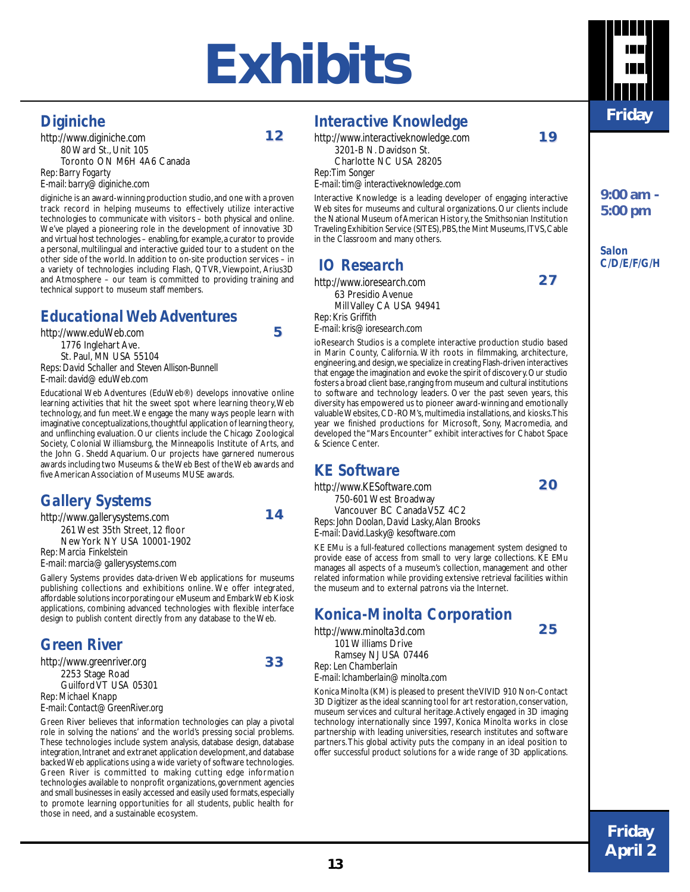## **Exhibits E**

**1 2** 

### *Diginiche*

*http://www.diginiche.com* 80 Ward St., Unit 105 Toronto ON M6H 4A6 Canada *Rep: Barry Fogarty E-mail: barry@diginiche.com*

diginiche is an award-winning production studio, and one with a proven track record in helping museums to effectively utilize interactive technologies to communicate with visitors – both physical and online. We've played a pioneering role in the development of innovative 3D and virtual host technologies – enabling, for example, a curator to provide a personal, multilingual and interactive guided tour to a student on the other side of the world. In addition to on-site production services – in a variety of technologies including Flash, QTVR, Viewpoint, Arius3D and Atmosphere – our team is committed to providing training and technical support to museum staff members.

### *Educational Web Adventures*

*http://www.eduWeb.com* 1776 Inglehart Ave. St. Paul, MN USA 55104 *Reps: David Schaller and Steven Allison-Bunnell E-mail: david@eduWeb.com*

Educational Web Adventures (EduWeb®) develops innovative online learning activities that hit the sweet spot where learning theory, Web technology, and fun meet. We engage the many ways people learn with imaginative conceptualizations, thoughtful application of learning theory, and unflinching evaluation. Our clients include the Chicago Zoological Society, Colonial Williamsburg, the Minneapolis Institute of Arts, and the John G. Shedd Aquarium. Our projects have garnered numerous awards including two Museums & the Web Best of the Web awards and five American Association of Museums MUSE awards.

### *Gallery Systems*

*http://www.gallerysystems.com* 261 West 35th Street, 12 floor New York NY USA 10001-1902 *Rep: Marcia Finkelstein*

*E-mail: marcia@gallerysystems.com*

Gallery Systems provides data-driven Web applications for museums publishing collections and exhibitions online. We offer integrated, affordable solutions incorporating our eMuseum and Embark Web Kiosk applications, combining advanced technologies with flexible interface design to publish content directly from any database to the Web.

### *Green River*

*http://www.greenriver.org* 2253 Stage Road Guilford VT USA 05301 *Rep: Michael Knapp E-mail: Contact@GreenRiver.org*

Green River believes that information technologies can play a pivotal role in solving the nations' and the world's pressing social problems. These technologies include system analysis, database design, database integration, Intranet and extranet application development, and database backed Web applications using a wide variety of software technologies. Green River is committed to making cutting edge information technologies available to nonprofit organizations, government agencies and small businesses in easily accessed and easily used formats, especially to promote learning opportunities for all students, public health for those in need, and a sustainable ecosystem.

### *Interactive Knowledge*

*http://www.interactiveknowledge.com* 3201-B N. Davidson St. Charlotte NC USA 28205 *Rep: Tim Songer E-mail: tim@interactiveknowledge.com*

Interactive Knowledge is a leading developer of engaging interactive Web sites for museums and cultural organizations. Our clients include the National Museum of American History, the Smithsonian Institution Traveling Exhibition Service (SITES), PBS, the Mint Museums, ITVS, Cable in the Classroom and many others.

### *IO Research*

*http://www.ioresearch.com* 63 Presidio Avenue Mill Valley CA USA 94941 *Rep: Kris Griffith E-mail: kris@ioresearch.com*

ioResearch Studios is a complete interactive production studio based in Marin County, California. With roots in filmmaking, architecture, engineering, and design, we specialize in creating Flash-driven interactives that engage the imagination and evoke the spirit of discovery. Our studio fosters a broad client base, ranging from museum and cultural institutions to software and technology leaders. Over the past seven years, this diversity has empowered us to pioneer award-winning and emotionally valuable Websites, CD-ROM's, multimedia installations, and kiosks. This year we finished productions for Microsoft, Sony, Macromedia, and developed the "Mars Encounter" exhibit interactives for Chabot Space & Science Center.

### *KE Software*

*http://www.KESoftware.com* 750-601 West Broadway Vancouver BC Canada V5Z 4C2 *Reps: John Doolan, David Lasky, Alan Brooks E-mail: David.Lasky@kesoftware.com*

KE EMu is a full-featured collections management system designed to provide ease of access from small to very large collections. KE EMu manages all aspects of a museum's collection, management and other related information while providing extensive retrieval facilities within the museum and to external patrons via the Internet.

### *Konica-Minolta Corporation*

*http://www.minolta3d.com* 101 Williams Drive Ramsey NJ USA 07446 *Rep: Len Chamberlain E-mail: lchamberlain@minolta.com*

Konica Minolta (KM) is pleased to present the VIVID 910 Non-Contact 3D Digitizer as the ideal scanning tool for art restoration, conservation, museum services and cultural heritage. Actively engaged in 3D imaging technology internationally since 1997, Konica Minolta works in close partnership with leading universities, research institutes and software partners. This global activity puts the company in an ideal position to offer successful product solutions for a wide range of 3D applications.



**9:00 am - 5:00 pm**

**1 9** 

**2 7** 

**2 0** 

**2 5** 

*Salon C/D/E/F/G/H*



**5**



**3 3**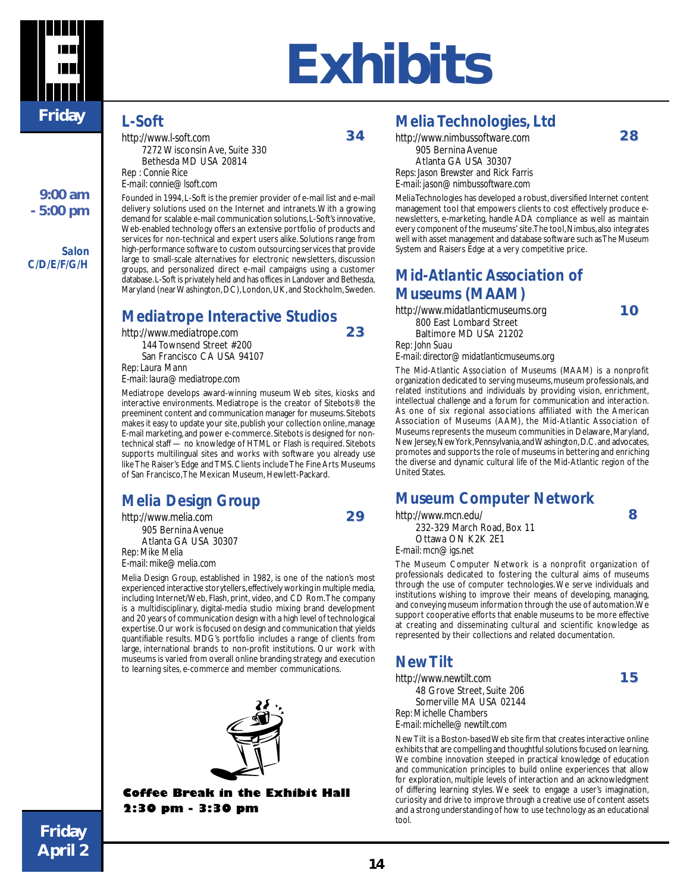

#### **9:00 am - 5:00 pm**

*Salon C/D/E/F/G/H*

#### *L-Soft*

*http://www.l-soft.com* 7272 Wisconsin Ave, Suite 330 Bethesda MD USA 20814 *Rep : Connie Rice E-mail: connie@lsoft.com*

**3 4** 

**2 3** 

**2 9** 

**E Exhibits**

Founded in 1994, L-Soft is the premier provider of e-mail list and e-mail delivery solutions used on the Internet and intranets. With a growing demand for scalable e-mail communication solutions, L-Soft's innovative, Web-enabled technology offers an extensive portfolio of products and services for non-technical and expert users alike. Solutions range from high-performance software to custom outsourcing services that provide large to small-scale alternatives for electronic newsletters, discussion groups, and personalized direct e-mail campaigns using a customer database. L-Soft is privately held and has offices in Landover and Bethesda, Maryland (near Washington, DC), London, UK, and Stockholm, Sweden.

### *Mediatrope Interactive Studios*

*http://www.mediatrope.com* 144 Townsend Street #200 San Francisco CA USA 94107 *Rep: Laura Mann E-mail: laura@mediatrope.com*

Mediatrope develops award-winning museum Web sites, kiosks and interactive environments. Mediatrope is the creator of Sitebots® the preeminent content and communication manager for museums. Sitebots makes it easy to update your site, publish your collection online, manage E-mail marketing, and power e-commerce. Sitebots is designed for nontechnical staff — no knowledge of HTML or Flash is required. Sitebots supports multilingual sites and works with software you already use like The Raiser's Edge and TMS. Clients include The Fine Arts Museums of San Francisco, The Mexican Museum, Hewlett-Packard.

### *Melia Design Group*

*http://www.melia.com* 905 Bernina Avenue Atlanta GA USA 30307 *Rep: Mike Melia*

*E-mail: mike@melia.com*

Melia Design Group, established in 1982, is one of the nation's most experienced interactive storytellers, effectively working in multiple media, including Internet/Web, Flash, print, video, and CD Rom. The company is a multidisciplinary, digital-media studio mixing brand development and 20 years of communication design with a high level of technological expertise. Our work is focused on design and communication that yields quantifiable results. MDG's portfolio includes a range of clients from large, international brands to non-profit institutions. Our work with museums is varied from overall online branding strategy and execution to learning sites, e-commerce and member communications.



#### **Coffee Break in the Exhibit Hall 2:30 pm - 3:30 pm**

### *Melia Technologies, Ltd*

*http://www.nimbussoftware.com* 905 Bernina Avenue Atlanta GA USA 30307 *Reps: Jason Brewster and Rick Farris E-mail: jason@nimbussoftware.com*

Melia Technologies has developed a robust, diversified Internet content management tool that empowers clients to cost effectively produce enewsletters, e-marketing, handle ADA compliance as well as maintain every component of the museums' site. The tool, Nimbus, also integrates well with asset management and database software such as The Museum System and Raisers Edge at a very competitive price.

### *Mid-Atlantic Association of Museums (MAAM)*

*http://www.midatlanticmuseums.org* 800 East Lombard Street Baltimore MD USA 21202 *Rep: John Suau E-mail: director@midatlanticmuseums.org*

The Mid-Atlantic Association of Museums (MAAM) is a nonprofit organization dedicated to serving museums, museum professionals, and related institutions and individuals by providing vision, enrichment, intellectual challenge and a forum for communication and interaction. As one of six regional associations affiliated with the American Association of Museums (AAM), the Mid-Atlantic Association of Museums represents the museum communities in Delaware, Maryland, New Jersey, New York, Pennsylvania, and Washington, D.C. and advocates, promotes and supports the role of museums in bettering and enriching the diverse and dynamic cultural life of the Mid-Atlantic region of the United States.

#### *Museum Computer Network*

*http://www.mcn.edu/*

232-329 March Road, Box 11 Ottawa ON K2K 2E1

*E-mail: mcn@igs.net*

The Museum Computer Network is a nonprofit organization of professionals dedicated to fostering the cultural aims of museums through the use of computer technologies. We serve individuals and institutions wishing to improve their means of developing, managing, and conveying museum information through the use of automation. We support cooperative efforts that enable museums to be more effective at creating and disseminating cultural and scientific knowledge as represented by their collections and related documentation.

### *New Tilt*

*http://www.newtilt.com* 48 Grove Street, Suite 206 Somerville MA USA 02144 *Rep: Michelle Chambers E-mail: michelle@newtilt.com*

New Tilt is a Boston-based Web site firm that creates interactive online exhibits that are compelling and thoughtful solutions focused on learning. We combine innovation steeped in practical knowledge of education and communication principles to build online experiences that allow for exploration, multiple levels of interaction and an acknowledgment of differing learning styles. We seek to engage a user's imagination, curiosity and drive to improve through a creative use of content assets and a strong understanding of how to use technology as an educational tool.

**2 8** 

**1 0** 

**1 5** 

#### **Figure 14 14 Friday April 2**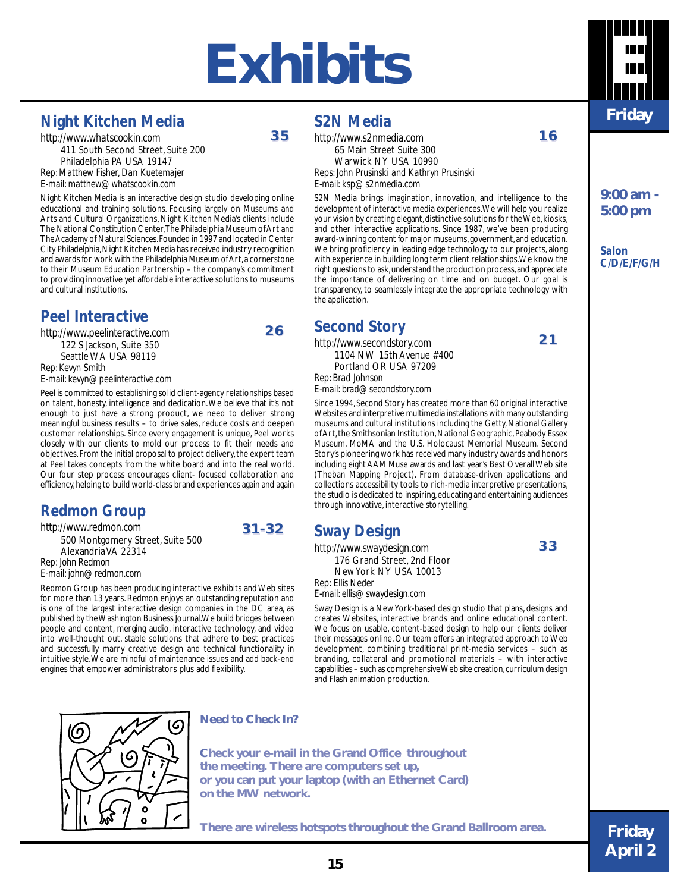## **Exhibits E**

### *Night Kitchen Media*

*http://www.whatscookin.com* 411 South Second Street, Suite 200 Philadelphia PA USA 19147 *Rep: Matthew Fisher, Dan Kuetemajer E-mail: matthew@whatscookin.com*

Night Kitchen Media is an interactive design studio developing online educational and training solutions. Focusing largely on Museums and Arts and Cultural Organizations, Night Kitchen Media's clients include The National Constitution Center, The Philadelphia Museum of Art and The Academy of Natural Sciences. Founded in 1997 and located in Center City Philadelphia, Night Kitchen Media has received industry recognition and awards for work with the Philadelphia Museum of Art, a cornerstone to their Museum Education Partnership – the company's commitment to providing innovative yet affordable interactive solutions to museums and cultural institutions.

### *Peel Interactive*

*http://www.peelinteractive.com* 122 S Jackson, Suite 350 Seattle WA USA 98119 *Rep: Kevyn Smith E-mail: kevyn@peelinteractive.com*

Peel is committed to establishing solid client-agency relationships based on talent, honesty, intelligence and dedication. We believe that it's not enough to just have a strong product, we need to deliver strong meaningful business results – to drive sales, reduce costs and deepen customer relationships. Since every engagement is unique, Peel works closely with our clients to mold our process to fit their needs and objectives. From the initial proposal to project delivery, the expert team at Peel takes concepts from the white board and into the real world. Our four step process encourages client- focused collaboration and efficiency, helping to build world-class brand experiences again and again

### *Redmon Group*

*http://www.redmon.com*

500 Montgomery Street, Suite 500 Alexandria VA 22314 *Rep: John Redmon E-mail: john@redmon.com*

Redmon Group has been producing interactive exhibits and Web sites for more than 13 years. Redmon enjoys an outstanding reputation and is one of the largest interactive design companies in the DC area, as published by the Washington Business Journal. We build bridges between people and content, merging audio, interactive technology, and video into well-thought out, stable solutions that adhere to best practices and successfully marry creative design and technical functionality in intuitive style. We are mindful of maintenance issues and add back-end engines that empower administrators plus add flexibility.



**2 6** 

**31-32**

### *S2N Media*

*http://www.s2nmedia.com*

65 Main Street Suite 300 Warwick NY USA 10990 *Reps: John Prusinski and Kathryn Prusinski E-mail: ksp@s2nmedia.com*

S2N Media brings imagination, innovation, and intelligence to the development of interactive media experiences. We will help you realize your vision by creating elegant, distinctive solutions for the Web, kiosks, and other interactive applications. Since 1987, we've been producing award-winning content for major museums, government, and education. We bring proficiency in leading edge technology to our projects, along with experience in building long term client relationships. We know the right questions to ask, understand the production process, and appreciate the importance of delivering on time and on budget. Our goal is transparency, to seamlessly integrate the appropriate technology with the application.

### *Second Story*

*http://www.secondstory.com* 1104 NW 15th Avenue #400 Portland OR USA 97209 *Rep: Brad Johnson*

*E-mail: brad@secondstory.com*

Since 1994, Second Story has created more than 60 original interactive Websites and interpretive multimedia installations with many outstanding museums and cultural institutions including the Getty, National Gallery of Art, the Smithsonian Institution, National Geographic, Peabody Essex Museum, MoMA and the U.S. Holocaust Memorial Museum. Second Story's pioneering work has received many industry awards and honors including eight AAM Muse awards and last year's Best Overall Web site (Theban Mapping Project). From database-driven applications and collections accessibility tools to rich-media interpretive presentations, the studio is dedicated to inspiring, educating and entertaining audiences through innovative, interactive storytelling.

### *Sway Design*

*http://www.swaydesign.com* 176 Grand Street, 2nd Floor New York NY USA 10013 *Rep: Ellis Neder*

*E-mail: ellis@swaydesign.com*

Sway Design is a New York-based design studio that plans, designs and creates Websites, interactive brands and online educational content. We focus on usable, content-based design to help our clients deliver their messages online. Our team offers an integrated approach to Web development, combining traditional print-media services – such as branding, collateral and promotional materials – with interactive capabilities – such as comprehensive Web site creation, curriculum design and Flash animation production.



#### **Need to Check In?**

**Check your e-mail in the Grand Office throughout the meeting. There are computers set up, or you can put your laptop (with an Ethernet Card) on the MW network.**

**There are wireless hotspots throughout the Grand Ballroom area.**



**9:00 am - 5:00 pm**

**1 6** 

**2 1** 

**3 3** 

*Salon C/D/E/F/G/H*

**Friday April 2**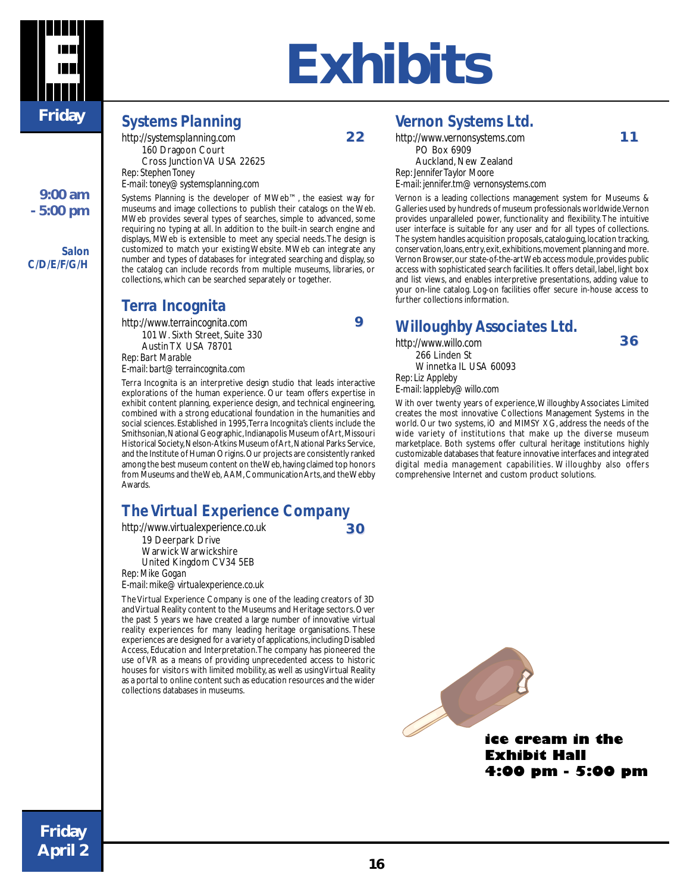

## **E Exhibits**

### *Systems Planning*

*Terra Incognita http://www.terraincognita.com* 101 W. Sixth Street, Suite 330 Austin TX USA 78701

*E-mail: bart@terraincognita.com*

*Rep: Bart Marable*

*http://systemsplanning.com* 160 Dragoon Court Cross Junction VA USA 22625 *Rep: Stephen Toney E-mail: toney@systemsplanning.com*

Systems Planning is the developer of MWeb™, the easiest way for museums and image collections to publish their catalogs on the Web. MWeb provides several types of searches, simple to advanced, some requiring no typing at all. In addition to the built-in search engine and displays, MWeb is extensible to meet any special needs. The design is customized to match your existing Website. MWeb can integrate any number and types of databases for integrated searching and display, so the catalog can include records from multiple museums, libraries, or

Terra Incognita is an interpretive design studio that leads interactive explorations of the human experience. Our team offers expertise in exhibit content planning, experience design, and technical engineering, combined with a strong educational foundation in the humanities and social sciences. Established in 1995, Terra Incognita's clients include the Smithsonian, National Geographic, Indianapolis Museum of Art, Missouri Historical Society, Nelson-Atkins Museum of Art, National Parks Service,

collections, which can be searched separately or together.

**2 2** 

**9**

*Vernon Systems Ltd.*

*http://www.vernonsystems.com* PO Box 6909 Auckland, New Zealand *Rep: Jennifer Taylor Moore E-mail: jennifer.tm@vernonsystems.com*

Vernon is a leading collections management system for Museums & Galleries used by hundreds of museum professionals worldwide. Vernon provides unparalleled power, functionality and flexibility. The intuitive user interface is suitable for any user and for all types of collections. The system handles acquisition proposals, cataloguing, location tracking, conservation, loans, entry, exit, exhibitions, movement planning and more. Vernon Browser, our state-of-the-art Web access module, provides public access with sophisticated search facilities. It offers detail, label, light box and list views, and enables interpretive presentations, adding value to your on-line catalog. Log-on facilities offer secure in-house access to further collections information.

### *Willoughby Associates Ltd.*

*http://www.willo.com* 266 Linden St Winnetka IL USA 60093 *Rep: Liz Appleby*

*E-mail: lappleby@willo.com*

With over twenty years of experience, Willoughby Associates Limited creates the most innovative Collections Management Systems in the world. Our two systems, iO and MIMSY XG, address the needs of the wide variety of institutions that make up the diverse museum marketplace. Both systems offer cultural heritage institutions highly customizable databases that feature innovative interfaces and integrated digital media management capabilities. Willoughby also offers comprehensive Internet and custom product solutions.



**3 0** 

19 Deerpark Drive Warwick Warwickshire United Kingdom CV34 5EB

*Rep: Mike Gogan E-mail: mike@virtualexperience.co.uk*

The Virtual Experience Company is one of the leading creators of 3D and Virtual Reality content to the Museums and Heritage sectors. Over the past 5 years we have created a large number of innovative virtual reality experiences for many leading heritage organisations. These experiences are designed for a variety of applications, including Disabled Access, Education and Interpretation. The company has pioneered the use of VR as a means of providing unprecedented access to historic houses for visitors with limited mobility, as well as using Virtual Reality as a portal to online content such as education resources and the wider collections databases in museums.



**1 1** 

**3 6** 

*Salon*

**9:00 am - 5:00 pm**

 *C/D/E/F/G/H*

**Friday April 2**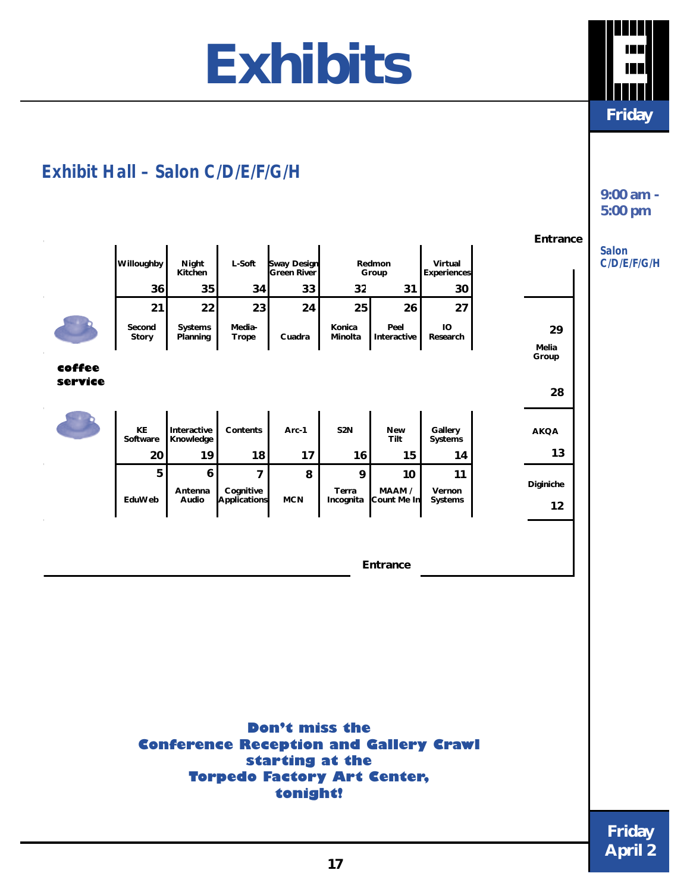## **Exhibits E**

**Friday**

**9:00 am - 5:00 pm**

## *Exhibit Hall – Salon C/D/E/F/G/H*

|         |                 |                          |                           |                                   |                    |                       |                        | Entrance             |                             |
|---------|-----------------|--------------------------|---------------------------|-----------------------------------|--------------------|-----------------------|------------------------|----------------------|-----------------------------|
|         | Willoughby      | Night<br>Kitchen         | L-Soft                    | <b>Sway Design</b><br>Green River |                    | Redmon<br>Group       | Virtual<br>Experiences |                      | <b>Salon</b><br>C/D/E/F/G/H |
|         | 36              | 35                       | 34                        | 33                                | 32                 | 31                    | 30                     |                      |                             |
|         | 21              | 22                       | 23                        | 24                                | 25                 | 26                    | 27                     |                      |                             |
|         | Second<br>Story | Systems<br>Planning      | Media-<br><b>Trope</b>    | Cuadra                            | Konica<br>Minolta  | Peel<br>Interactive   | IO<br>Research         | 29<br>Melia<br>Group |                             |
| coffee  |                 |                          |                           |                                   |                    |                       |                        |                      |                             |
| service |                 |                          |                           |                                   |                    |                       |                        | 28                   |                             |
|         |                 |                          |                           |                                   |                    |                       |                        |                      |                             |
|         | KE<br>Software  | Interactive<br>Knowledge | Contents                  | Arc-1                             | S <sub>2</sub> N   | <b>New</b><br>Tilt    | Gallery<br>Systems     | <b>AKQA</b>          |                             |
|         | 20              | 19                       | 18                        | 17                                | 16                 | 15                    | 14                     | 13                   |                             |
|         | 5               | $\boldsymbol{6}$         | $\overline{7}$            | 8                                 | 9                  | $10$                  | 11                     | Diginiche            |                             |
|         | EduWeb          | Antenna<br>Audio         | Cognitive<br>Applications | <b>MCN</b>                        | Terra<br>Incognita | MAAM /<br>Count Me In | Vernon<br>Systems      | 12                   |                             |
|         |                 |                          |                           |                                   |                    |                       |                        |                      |                             |
|         |                 |                          |                           |                                   |                    |                       |                        |                      |                             |
|         |                 |                          |                           |                                   |                    | Entrance              |                        |                      |                             |
|         |                 |                          |                           |                                   |                    |                       |                        |                      |                             |
|         |                 |                          |                           |                                   |                    |                       |                        |                      |                             |
|         |                 |                          |                           |                                   |                    |                       |                        |                      |                             |
|         |                 |                          |                           |                                   |                    |                       |                        |                      |                             |
|         |                 |                          |                           |                                   |                    |                       |                        |                      |                             |
|         |                 |                          |                           |                                   |                    |                       |                        |                      |                             |
|         |                 |                          |                           |                                   |                    |                       |                        |                      |                             |
|         |                 |                          |                           |                                   |                    |                       |                        |                      |                             |

**Don't miss the Conference Reception and Gallery Crawl starting at the Torpedo Factory Art Center, tonight!**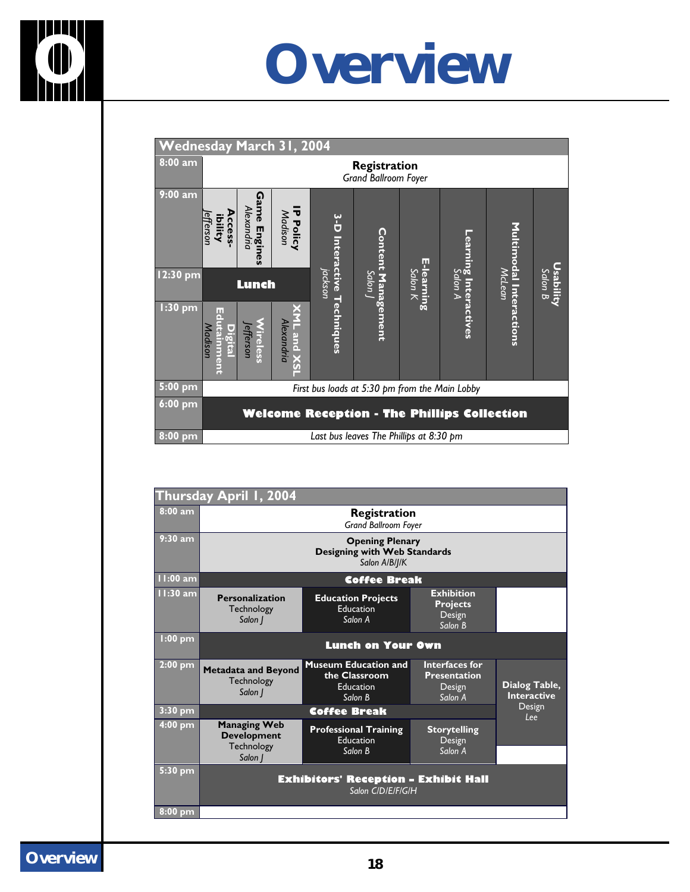

## **O Overview**

| <b>Wednesday March 31, 2004</b> |                                                    |                                   |                             |                            |                                         |                       |                                 |                         |                             |
|---------------------------------|----------------------------------------------------|-----------------------------------|-----------------------------|----------------------------|-----------------------------------------|-----------------------|---------------------------------|-------------------------|-----------------------------|
| 8:00 a m                        | Registration<br>Grand Ballroom Foyer               |                                   |                             |                            |                                         |                       |                                 |                         |                             |
| $9:00$ am                       | Access.<br>efferson<br>ibility                     | ດ<br>ame<br>Alexandria<br>Engines | <b>IP Policy</b><br>Madison | 3-D Interactive Techniques | <u>Content Management</u>               |                       |                                 | Multimodal Interactions |                             |
| $12:30$ pm                      |                                                    | <b>Lunch</b>                      |                             | jackson                    | Luop <sub>2</sub>                       | E-learning<br>Salon K | earning Interactives<br>Salon A | McLean                  | <u>Usability</u><br>Salon B |
| $1:30$ pm                       | ш<br>Madison<br><b>Digita</b><br><b>tainment</b>   | <b>Vireless</b><br>efferson       | Alexandria<br>-and          |                            |                                         |                       |                                 |                         |                             |
| $5:00$ pm                       | First bus loads at 5:30 pm from the Main Lobby     |                                   |                             |                            |                                         |                       |                                 |                         |                             |
| $6:00$ pm                       | <b>Welcome Reception - The Phillips Collection</b> |                                   |                             |                            |                                         |                       |                                 |                         |                             |
| $8:00$ pm                       |                                                    |                                   |                             |                            | Last bus leaves The Phillips at 8:30 pm |                       |                                 |                         |                             |

|            | Thursday April 1, 2004                                                         |                                                                             |                                                            |                                     |  |  |  |  |  |
|------------|--------------------------------------------------------------------------------|-----------------------------------------------------------------------------|------------------------------------------------------------|-------------------------------------|--|--|--|--|--|
| $8:00$ am  | Registration<br><b>Grand Ballroom Foyer</b>                                    |                                                                             |                                                            |                                     |  |  |  |  |  |
| $9:30$ am  | <b>Opening Plenary</b><br><b>Designing with Web Standards</b><br>Salon A/B/J/K |                                                                             |                                                            |                                     |  |  |  |  |  |
| 11:00 am   |                                                                                | <b>Coffee Break</b>                                                         |                                                            |                                     |  |  |  |  |  |
| $11:30$ am | <b>Personalization</b><br>Technology<br>Salon                                  | <b>Education Projects</b><br><b>Education</b><br>Salon A                    | <b>Exhibition</b><br><b>Projects</b><br>Design<br>Salon B  |                                     |  |  |  |  |  |
| $1:00$ pm  |                                                                                | <b>Lunch on Your Own</b>                                                    |                                                            |                                     |  |  |  |  |  |
| $2:00$ pm  | <b>Metadata and Beyond</b><br>Technology<br>Salon                              | <b>Museum Education and</b><br>the Classroom<br><b>Education</b><br>Salon B | Interfaces for<br><b>Presentation</b><br>Design<br>Salon A | Dialog Table,<br><b>Interactive</b> |  |  |  |  |  |
| $3:30$ pm  |                                                                                | Coffee Break                                                                |                                                            | Design<br>l ee                      |  |  |  |  |  |
| 4:00 pm    | <b>Managing Web</b><br><b>Development</b><br>Technology<br>Salon J             | <b>Professional Training</b><br>Education<br>Salon B                        | <b>Storytelling</b><br>Design<br>Salon A                   |                                     |  |  |  |  |  |
| $5:30$ pm  |                                                                                |                                                                             |                                                            |                                     |  |  |  |  |  |
|            |                                                                                | <b>Exhibitors' Reception - Exhibit Hall</b><br>Salon CIDIEIFIGIH            |                                                            |                                     |  |  |  |  |  |
| 8:00 pm    |                                                                                |                                                                             |                                                            |                                     |  |  |  |  |  |

**Overview <sup>18</sup>**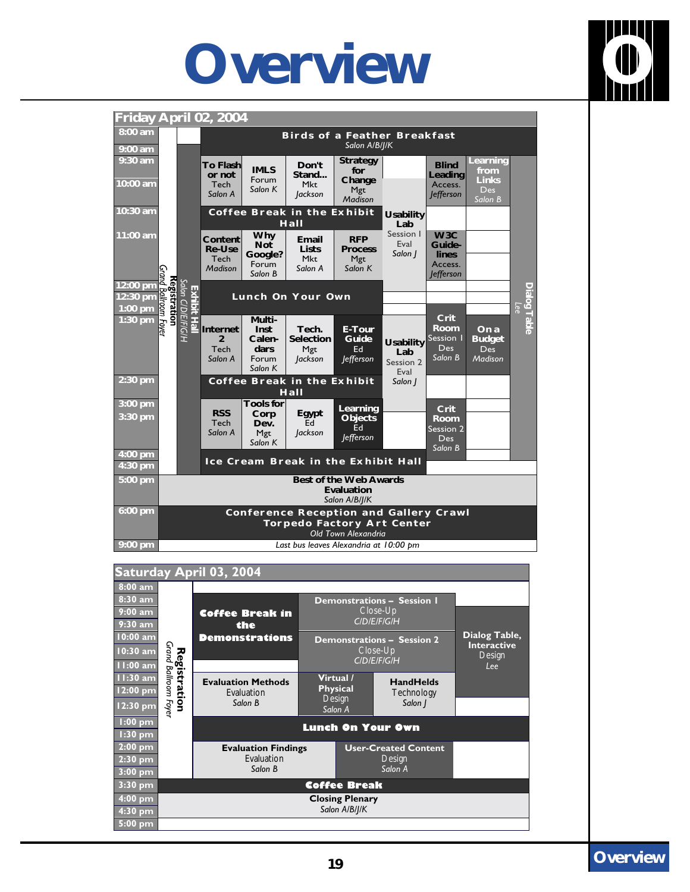## **Overview O**





#### **Saturday April 03, 2004 8:00 am 8:30 am Demonstrations – Session 1 9:00 am Coffee Break in** Close-Up *C/D/E/F/G/H* **9:30 am the 10:00 am Dialog Table, Demonstrations Demonstrations – Session 2 Interactive** Grand Ballroom Foyer *Grand Ballroom Foyer* **10:30 am** Registration Close-Up **Registration** Design *C/D/E/F/G/H* **11:00 am** *Lee* **11:30 am Virtual / Evaluation Methods HandHelds 12:00 pm Physical** Evaluation **Technology** Design *Salon B Salon J* **12:30 pm** *Salon A* **1:00 pm 1:30 pm Lunch On Your Own 2:00 pm Evaluation Findings User-Created Content 2:30 pm** Evaluation **Design** *Salon B Salon A* **3:00 pm 3:30 pm Coffee Break 4:00 pm Closing Plenary** *Salon A/B/J/K* **4:30 pm 5:00 pm**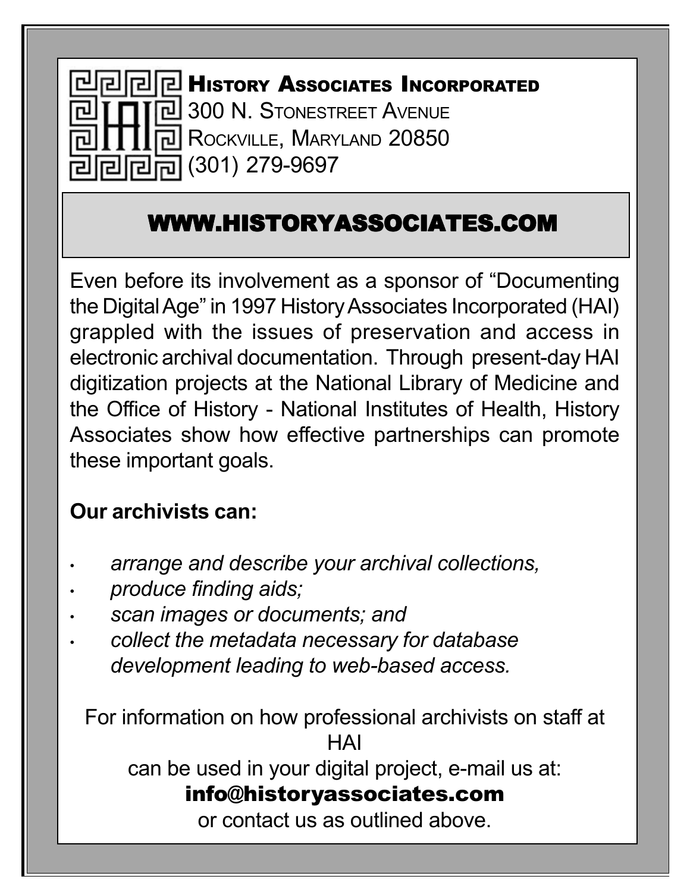

## WWW.HISTORYASSOCIATES.COM

Even before its involvement as a sponsor of "Documenting the Digital Age" in 1997 History Associates Incorporated (HAI) grappled with the issues of preservation and access in electronic archival documentation. Through present-day HAI digitization projects at the National Library of Medicine and the Office of History - National Institutes of Health, History Associates show how effective partnerships can promote these important goals.

## **Our archivists can:**

- *arrange and describe your archival collections,*
- *• produce finding aids;*
- *• scan images or documents; and*
- *• collect the metadata necessary for database development leading to web-based access.*

For information on how professional archivists on staff at **HAI** 

can be used in your digital project, e-mail us at:

## info@historyassociates.com

or contact us as outlined above.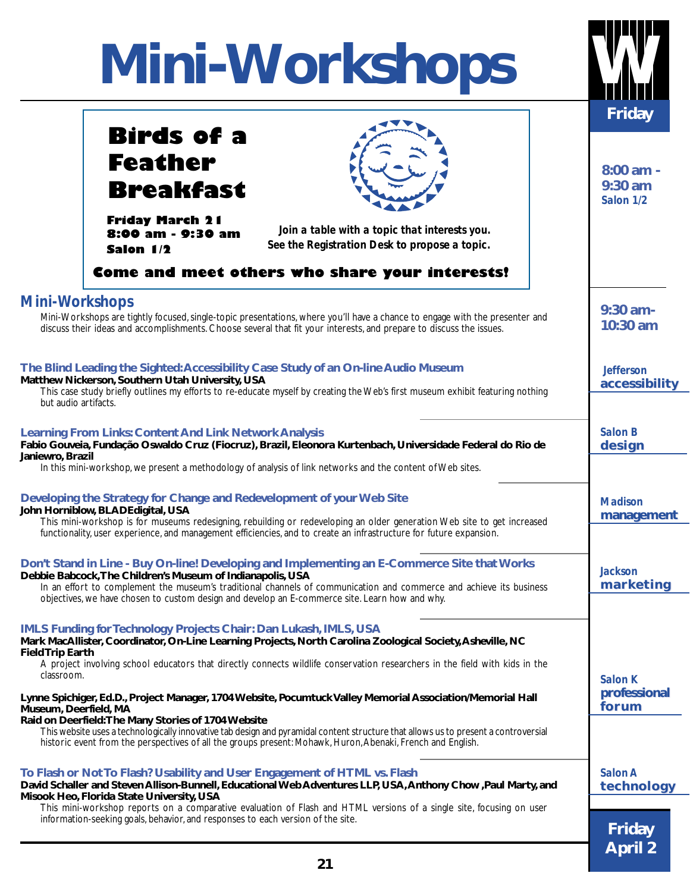# **Mini-Workshops W**

| <b>TAULINAI IUNA</b>                                                                                                                                                                                                                                                                                                                                                                                                                             |                                                      |
|--------------------------------------------------------------------------------------------------------------------------------------------------------------------------------------------------------------------------------------------------------------------------------------------------------------------------------------------------------------------------------------------------------------------------------------------------|------------------------------------------------------|
| <b>Birds of a</b><br><b>Feather</b><br><b>Breakfast</b>                                                                                                                                                                                                                                                                                                                                                                                          | <b>Friday</b><br>$8:00$ am -<br>9:30 am<br>Salon 1/2 |
| <b>Friday March 21</b><br>Join a table with a topic that interests you.<br>8:00 am - 9:30 am<br>See the Registration Desk to propose a topic.<br>Salon 1/2<br>Come and meet others who share your interests!                                                                                                                                                                                                                                     |                                                      |
| <b>Mini-Workshops</b><br>Mini-Workshops are tightly focused, single-topic presentations, where you'll have a chance to engage with the presenter and<br>discuss their ideas and accomplishments. Choose several that fit your interests, and prepare to discuss the issues.                                                                                                                                                                      | $9:30$ am-<br>10:30 am                               |
| The Blind Leading the Sighted: Accessibility Case Study of an On-line Audio Museum<br>Matthew Nickerson, Southern Utah University, USA<br>This case study briefly outlines my efforts to re-educate myself by creating the Web's first museum exhibit featuring nothing<br>but audio artifacts.                                                                                                                                                  | <b>Jefferson</b><br>accessibility                    |
| <b>Learning From Links: Content And Link Network Analysis</b><br>Fabio Gouveia, Fundação Oswaldo Cruz (Fiocruz), Brazil, Eleonora Kurtenbach, Universidade Federal do Rio de<br>Janiewro, Brazil<br>In this mini-workshop, we present a methodology of analysis of link networks and the content of Web sites.                                                                                                                                   | <b>Salon B</b><br>design                             |
| Developing the Strategy for Change and Redevelopment of your Web Site<br>John Horniblow, BLADEdigital, USA<br>This mini-workshop is for museums redesigning, rebuilding or redeveloping an older generation Web site to get increased<br>functionality, user experience, and management efficiencies, and to create an infrastructure for future expansion.                                                                                      | <b>Madison</b><br>management                         |
| Don't Stand in Line - Buy On-line! Developing and Implementing an E-Commerce Site that Works<br>Debbie Babcock, The Children's Museum of Indianapolis, USA<br>In an effort to complement the museum's traditional channels of communication and commerce and achieve its business<br>objectives, we have chosen to custom design and develop an E-commerce site. Learn how and why.                                                              | <b>Jackson</b><br>marketing                          |
| <b>IMLS Funding for Technology Projects Chair: Dan Lukash, IMLS, USA</b><br>Mark MacAllister, Coordinator, On-Line Learning Projects, North Carolina Zoological Society, Asheville, NC<br><b>Field Trip Earth</b><br>A project involving school educators that directly connects wildlife conservation researchers in the field with kids in the<br>classroom.                                                                                   | Salon K                                              |
| Lynne Spichiger, Ed.D., Project Manager, 1704 Website, Pocumtuck Valley Memorial Association/Memorial Hall<br>Museum, Deerfield, MA<br>Raid on Deerfield: The Many Stories of 1704 Website<br>This website uses a technologically innovative tab design and pyramidal content structure that allows us to present a controversial<br>historic event from the perspectives of all the groups present: Mohawk, Huron, Abenaki, French and English. | professional<br>forum                                |
| To Flash or Not To Flash? Usability and User Engagement of HTML vs. Flash<br>David Schaller and Steven Allison-Bunnell, Educational Web Adventures LLP, USA, Anthony Chow , Paul Marty, and<br>Misook Heo, Florida State University, USA<br>This mini-workshop reports on a comparative evaluation of Flash and HTML versions of a single site, focusing on user                                                                                 | Salon A<br>technology                                |
| information-seeking goals, behavior, and responses to each version of the site.                                                                                                                                                                                                                                                                                                                                                                  | <b>Friday</b><br><b>April 2</b>                      |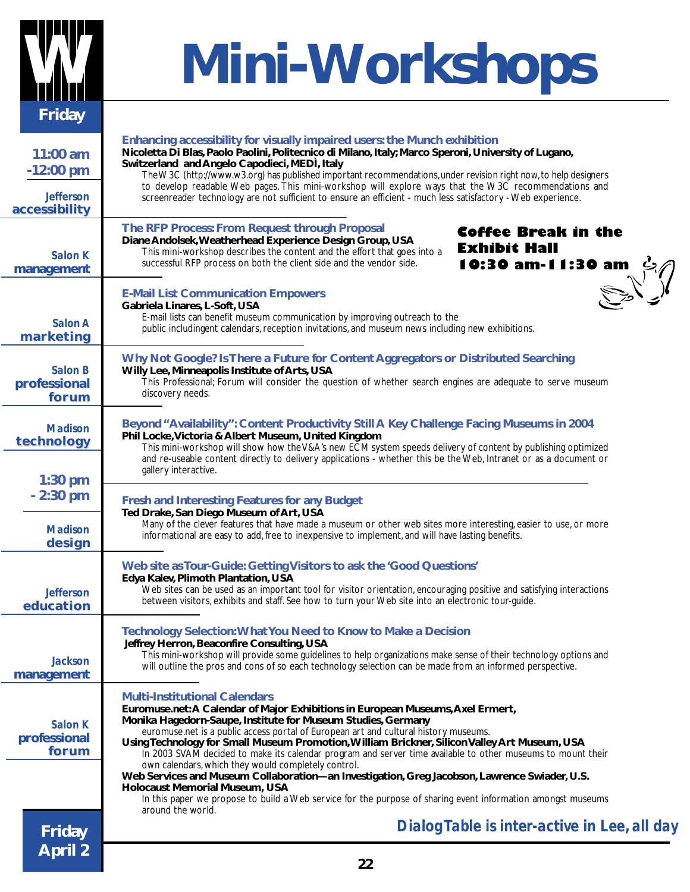

# **W Mini-Workshops**

| 11:00 am<br>$-12:00$ pm           | Enhancing accessibility for visually impaired users: the Munch exhibition<br>Nicoletta Di Blas, Paolo Paolini, Politecnico di Milano, Italy; Marco Speroni, University of Lugano,<br>Switzerland and Angelo Capodieci, MEDI, Italy<br>The W3C (http://www.w3.org) has published important recommendations, under revision right now, to help designers                                                                                                                                                                                                                                                                                                                                    |  |  |  |
|-----------------------------------|-------------------------------------------------------------------------------------------------------------------------------------------------------------------------------------------------------------------------------------------------------------------------------------------------------------------------------------------------------------------------------------------------------------------------------------------------------------------------------------------------------------------------------------------------------------------------------------------------------------------------------------------------------------------------------------------|--|--|--|
| <b>Jefferson</b><br>accessibility | to develop readable Web pages. This mini-workshop will explore ways that the W3C recommendations and<br>screenreader technology are not sufficient to ensure an efficient - much less satisfactory - Web experience.                                                                                                                                                                                                                                                                                                                                                                                                                                                                      |  |  |  |
| Salon K<br>management             | The RFP Process: From Request through Proposal<br>Coffee Break in the<br>Diane Andolsek, Weatherhead Experience Design Group, USA<br><b>Exhibit Hall</b><br>This mini-workshop describes the content and the effort that goes into a<br>successful RFP process on both the client side and the vendor side.<br><b>EXILIATE:</b><br>10:30 am-11:30 am $\mathcal{L}_i$                                                                                                                                                                                                                                                                                                                      |  |  |  |
| Salon A<br>marketing              | <b>E-Mail List Communication Empowers</b><br>Gabriela Linares, L-Soft, USA<br>E-mail lists can benefit museum communication by improving outreach to the<br>public includingent calendars, reception invitations, and museum news including new exhibitions.                                                                                                                                                                                                                                                                                                                                                                                                                              |  |  |  |
| Salon B<br>professional<br>forum  | Why Not Google? Is There a Future for Content Aggregators or Distributed Searching<br>Willy Lee, Minneapolis Institute of Arts, USA<br>This Professional; Forum will consider the question of whether search engines are adequate to serve museum<br>discovery needs.                                                                                                                                                                                                                                                                                                                                                                                                                     |  |  |  |
| <b>Madison</b><br>technology      | Beyond "Availability": Content Productivity Still A Key Challenge Facing Museums in 2004<br>Phil Locke, Victoria & Albert Museum, United Kingdom<br>This mini-workshop will show how the V&A's new ECM system speeds delivery of content by publishing optimized<br>and re-useable content directly to delivery applications - whether this be the Web, Intranet or as a document or                                                                                                                                                                                                                                                                                                      |  |  |  |
| $1:30$ pm<br>$-2:30$ pm           | gallery interactive.<br><b>Fresh and Interesting Features for any Budget</b>                                                                                                                                                                                                                                                                                                                                                                                                                                                                                                                                                                                                              |  |  |  |
| <b>Madison</b><br>design          | Ted Drake, San Diego Museum of Art, USA<br>Many of the clever features that have made a museum or other web sites more interesting, easier to use, or more<br>informational are easy to add, free to inexpensive to implement, and will have lasting benefits.                                                                                                                                                                                                                                                                                                                                                                                                                            |  |  |  |
| <b>Jefferson</b><br>education     | Web site as Tour-Guide: Getting Visitors to ask the 'Good Questions'<br>Edya Kalev, Plimoth Plantation, USA<br>Web sites can be used as an important tool for visitor orientation, encouraging positive and satisfying interactions<br>between visitors, exhibits and staff. See how to turn your Web site into an electronic tour-guide.                                                                                                                                                                                                                                                                                                                                                 |  |  |  |
| <b>Jackson</b><br>management      | <b>Technology Selection: What You Need to Know to Make a Decision</b><br>Jeffrey Herron, Beaconfire Consulting, USA<br>This mini-workshop will provide some guidelines to help organizations make sense of their technology options and<br>will outline the pros and cons of so each technology selection can be made from an informed perspective.                                                                                                                                                                                                                                                                                                                                       |  |  |  |
| Salon K<br>professional<br>forum  | <b>Multi-Institutional Calendars</b><br>Euromuse.net: A Calendar of Major Exhibitions in European Museums, Axel Ermert,<br>Monika Hagedorn-Saupe, Institute for Museum Studies, Germany<br>euromuse.net is a public access portal of European art and cultural history museums.<br>Using Technology for Small Museum Promotion, William Brickner, Silicon Valley Art Museum, USA<br>In 2003 SVAM decided to make its calendar program and server time available to other museums to mount their<br>own calendars, which they would completely control.<br>Web Services and Museum Collaboration—an Investigation, Greg Jacobson, Lawrence Swiader, U.S.<br>Holocaust Memorial Museum, USA |  |  |  |
| <b>Friday</b>                     | In this paper we propose to build a Web service for the purpose of sharing event information amongst museums<br>around the world.<br>Dialog Table is inter-active in Lee, all day                                                                                                                                                                                                                                                                                                                                                                                                                                                                                                         |  |  |  |
| <b>April 2</b>                    |                                                                                                                                                                                                                                                                                                                                                                                                                                                                                                                                                                                                                                                                                           |  |  |  |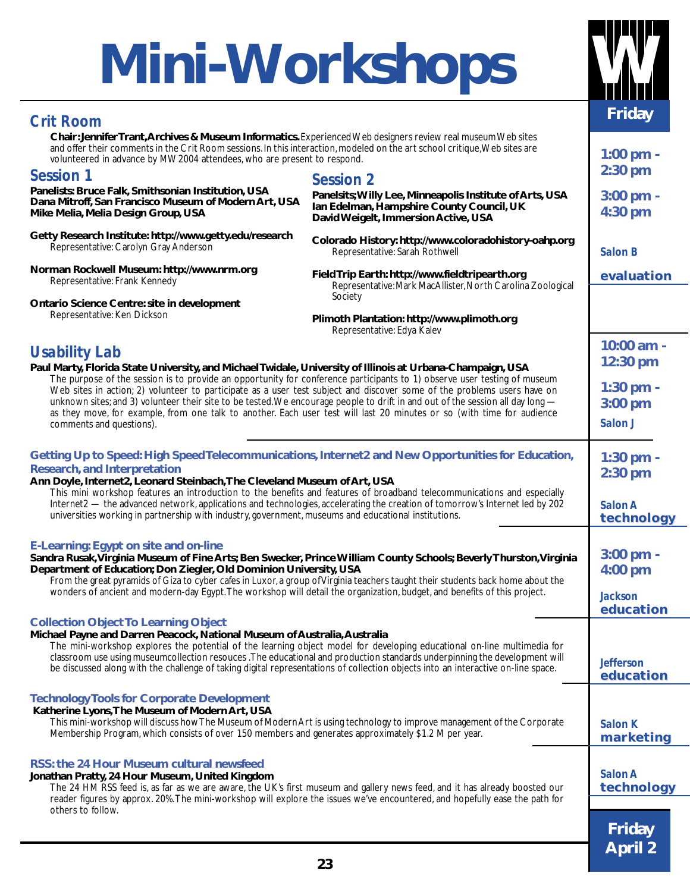## **Mini-Workshops**

**Friday** *Crit Room* **Chair: Jennifer Trant, Archives & Museum Informatics.** Experienced Web designers review real museum Web sites and offer their comments in the Crit Room sessions. In this interaction, modeled on the art school critique, Web sites are volunteered in advance by MW2004 attendees, who are present to respond. **1:00 pm -**<br>volunteered in advance by MW2004 attendees, who are present to respond. *Session 2* **Panelsits; Willy Lee, Minneapolis Institute of Arts, USA Ian Edelman, Hampshire County Council, UK** *Session 1* **Panelists: Bruce Falk, Smithsonian Institution, USA Dana Mitroff, San Francisco Museum of Modern Art, USA Mike Melia, Melia Design Group, USA**

**2:30 pm**

| Panelists: Bruce Falk, Smithsonian Institution, USA<br>Dana Mitroff, San Francisco Museum of Modern Art, USA<br>Mike Melia, Melia Design Group, USA                                                                                                                                                                                                                         | Panelsits; Willy Lee, Minneapolis Institute of Arts, USA<br>Ian Edelman, Hampshire County Council, UK<br>David Weigelt, Immersion Active, USA                                                                                                        | 3:00 pm -<br>4:30 pm          |
|-----------------------------------------------------------------------------------------------------------------------------------------------------------------------------------------------------------------------------------------------------------------------------------------------------------------------------------------------------------------------------|------------------------------------------------------------------------------------------------------------------------------------------------------------------------------------------------------------------------------------------------------|-------------------------------|
| Getty Research Institute: http://www.getty.edu/research<br>Representative: Carolyn Gray Anderson                                                                                                                                                                                                                                                                            | Colorado History: http://www.coloradohistory-oahp.org<br>Representative: Sarah Rothwell                                                                                                                                                              | <b>Salon B</b>                |
| Norman Rockwell Museum: http://www.nrm.org<br>Representative: Frank Kennedy                                                                                                                                                                                                                                                                                                 | Field Trip Earth: http://www.fieldtripearth.org<br>Representative: Mark MacAllister, North Carolina Zoological<br>Society                                                                                                                            | evaluation                    |
| Ontario Science Centre: site in development<br>Representative: Ken Dickson                                                                                                                                                                                                                                                                                                  |                                                                                                                                                                                                                                                      |                               |
|                                                                                                                                                                                                                                                                                                                                                                             | Plimoth Plantation: http://www.plimoth.org<br>Representative: Edya Kalev                                                                                                                                                                             |                               |
| <b>Usability Lab</b>                                                                                                                                                                                                                                                                                                                                                        |                                                                                                                                                                                                                                                      | 10:00 am -                    |
| Paul Marty, Florida State University, and Michael Twidale, University of Illinois at Urbana-Champaign, USA                                                                                                                                                                                                                                                                  |                                                                                                                                                                                                                                                      | 12:30 pm                      |
| The purpose of the session is to provide an opportunity for conference participants to 1) observe user testing of museum<br>Web sites in action; 2) volunteer to participate as a user test subject and discover some of the problems users have on                                                                                                                         |                                                                                                                                                                                                                                                      | 1:30 pm -                     |
| unknown sites; and 3) volunteer their site to be tested. We encourage people to drift in and out of the session all day long -                                                                                                                                                                                                                                              |                                                                                                                                                                                                                                                      | $3:00$ pm                     |
| as they move, for example, from one talk to another. Each user test will last 20 minutes or so (with time for audience<br>comments and questions).                                                                                                                                                                                                                          |                                                                                                                                                                                                                                                      | Salon J                       |
|                                                                                                                                                                                                                                                                                                                                                                             |                                                                                                                                                                                                                                                      |                               |
| Getting Up to Speed: High Speed Telecommunications, Internet2 and New Opportunities for Education,                                                                                                                                                                                                                                                                          |                                                                                                                                                                                                                                                      | 1:30 pm -                     |
| <b>Research, and Interpretation</b>                                                                                                                                                                                                                                                                                                                                         |                                                                                                                                                                                                                                                      | 2:30 pm                       |
| Ann Doyle, Internet2, Leonard Steinbach, The Cleveland Museum of Art, USA                                                                                                                                                                                                                                                                                                   | This mini workshop features an introduction to the benefits and features of broadband telecommunications and especially                                                                                                                              |                               |
|                                                                                                                                                                                                                                                                                                                                                                             | Internet2 — the advanced network, applications and technologies, accelerating the creation of tomorrow's Internet led by 202                                                                                                                         | Salon A                       |
| universities working in partnership with industry, government, museums and educational institutions.                                                                                                                                                                                                                                                                        |                                                                                                                                                                                                                                                      | technology                    |
| <b>E-Learning: Egypt on site and on-line</b><br>Sandra Rusak, Virginia Museum of Fine Arts; Ben Swecker, Prince William County Schools; Beverly Thurston, Virginia<br>Department of Education; Don Ziegler, Old Dominion University, USA<br>From the great pyramids of Giza to cyber cafes in Luxor, a group of Virginia teachers taught their students back home about the | $3:00$ pm -<br>4:00 pm                                                                                                                                                                                                                               |                               |
| wonders of ancient and modern-day Egypt. The workshop will detail the organization, budget, and benefits of this project.                                                                                                                                                                                                                                                   |                                                                                                                                                                                                                                                      | <b>Jackson</b><br>education   |
| <b>Collection Object To Learning Object</b>                                                                                                                                                                                                                                                                                                                                 |                                                                                                                                                                                                                                                      |                               |
| Michael Payne and Darren Peacock, National Museum of Australia, Australia<br>be discussed along with the challenge of taking digital representations of collection objects into an interactive on-line space.                                                                                                                                                               | The mini-workshop explores the potential of the learning object model for developing educational on-line multimedia for<br>classroom use using museumcollection resouces .The educational and production standards underpinning the development will | <b>Jefferson</b><br>education |
| <b>Technology Tools for Corporate Development</b>                                                                                                                                                                                                                                                                                                                           |                                                                                                                                                                                                                                                      |                               |
| Katherine Lyons, The Museum of Modern Art, USA                                                                                                                                                                                                                                                                                                                              |                                                                                                                                                                                                                                                      |                               |
| Membership Program, which consists of over 150 members and generates approximately \$1.2 M per year.                                                                                                                                                                                                                                                                        | This mini-workshop will discuss how The Museum of Modern Art is using technology to improve management of the Corporate                                                                                                                              | <b>Salon K</b><br>marketing   |
|                                                                                                                                                                                                                                                                                                                                                                             |                                                                                                                                                                                                                                                      |                               |
| RSS: the 24 Hour Museum cultural newsfeed                                                                                                                                                                                                                                                                                                                                   |                                                                                                                                                                                                                                                      |                               |
| Jonathan Pratty, 24 Hour Museum, United Kingdom<br>The 24 HM RSS feed is, as far as we are aware, the UK's first museum and gallery news feed, and it has already boosted our                                                                                                                                                                                               | Salon A<br>technology                                                                                                                                                                                                                                |                               |
|                                                                                                                                                                                                                                                                                                                                                                             | reader figures by approx. 20%. The mini-workshop will explore the issues we've encountered, and hopefully ease the path for                                                                                                                          |                               |
| others to follow.                                                                                                                                                                                                                                                                                                                                                           |                                                                                                                                                                                                                                                      |                               |
|                                                                                                                                                                                                                                                                                                                                                                             |                                                                                                                                                                                                                                                      | <b>Friday</b>                 |
|                                                                                                                                                                                                                                                                                                                                                                             |                                                                                                                                                                                                                                                      | <b>April 2</b>                |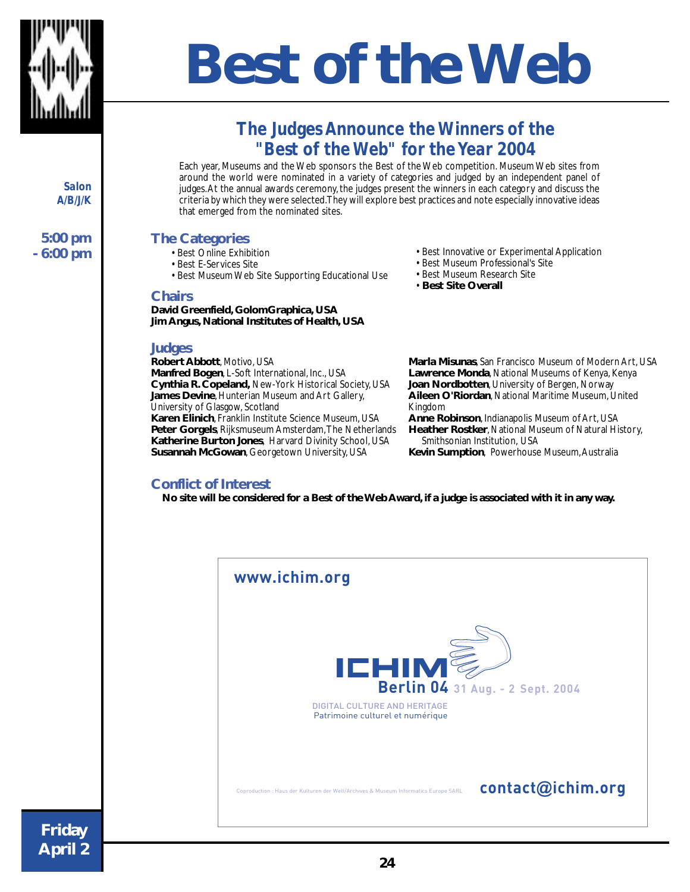

## **B Best of the Web**

## *The Judges Announce the Winners of the "Best of the Web" for the Year 2004*

Each year, Museums and the Web sponsors the Best of the Web competition. Museum Web sites from around the world were nominated in a variety of categories and judged by an independent panel of judges. At the annual awards ceremony, the judges present the winners in each category and discuss the criteria by which they were selected. They will explore best practices and note especially innovative ideas that emerged from the nominated sites.

#### **The Categories**

- Best Online Exhibition
- Best E-Services Site
- Best Museum Web Site Supporting Educational Use

#### **Chairs**

**David Greenfield, GolomGraphica, USA Jim Angus, National Institutes of Health, USA**

#### **Judges**

**Robert Abbott**, Motivo, USA **Manfred Bogen**, L-Soft International, Inc., USA **Cynthia R. Copeland,** New-York Historical Society, USA **James Devine**, Hunterian Museum and Art Gallery, University of Glasgow, Scotland **Karen Elinich**, Franklin Institute Science Museum, USA **Peter Gorgels**, Rijksmuseum Amsterdam, The Netherlands **Katherine Burton Jones**, Harvard Divinity School, USA **Susannah McGowan**, Georgetown University, USA

#### **Conflict of Interest**

• Best Innovative or Experimental Application

- Best Museum Professional's Site
- Best Museum Research Site
- **Best Site Overall**

**Marla Misunas**, San Francisco Museum of Modern Art, USA **Lawrence Monda**, National Museums of Kenya, Kenya **Joan Nordbotten**, University of Bergen, Norway **Aileen O'Riordan**, National Maritime Museum, United Kingdom

**Anne Robinson**, Indianapolis Museum of Art, USA **Heather Rostker**, National Museum of Natural History, Smithsonian Institution, USA **Kevin Sumption**, Powerhouse Museum, Australia

 **No site will be considered for a Best of the Web Award, if a judge is associated with it in any way.**

| www.ichim.org |                                                                                     |              |                                  |
|---------------|-------------------------------------------------------------------------------------|--------------|----------------------------------|
|               | <b>DIGITAL CULTURE AND HERITAGE</b><br>Patrimoine culturel et numérique             | <b>ICHIM</b> | Berlin 04 31 Aug. - 2 Sept. 2004 |
|               | Coproduction : Haus der Kulturen der Welt/Archives & Museum Informatics Europe SARL |              | contact@ichim.org                |

*Salon A/B/J/K*

**5:00 pm - 6:00 pm**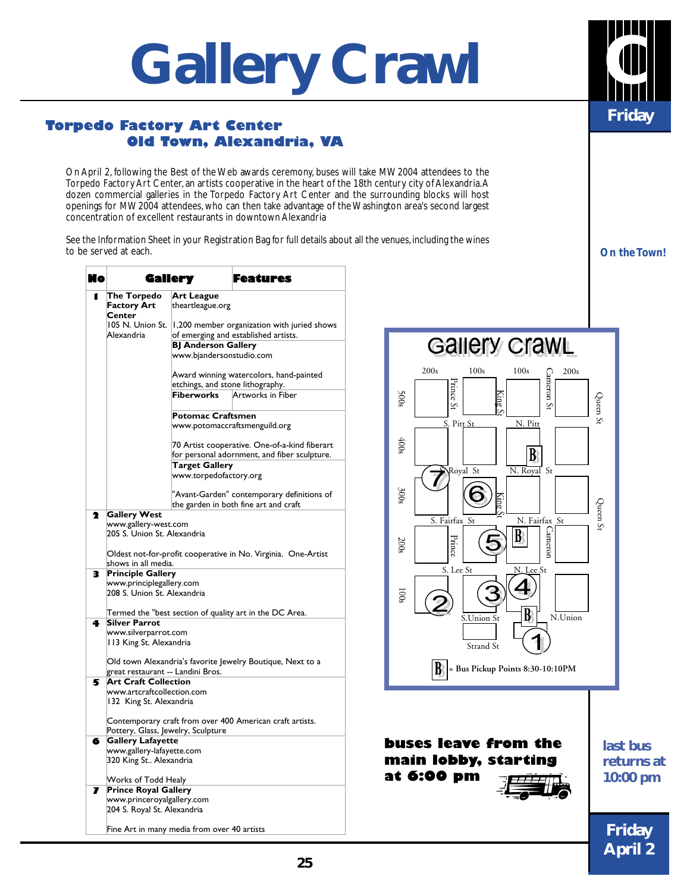# **Gallery Crawl**

#### **Torpedo Factory Art Center Old Town, Alexandria, VA**

On April 2, following the Best of the Web awards ceremony, buses will take MW2004 attendees to the Torpedo Factory Art Center, an artists cooperative in the heart of the 18th century city of Alexandria. A dozen commercial galleries in the Torpedo Factory Art Center and the surrounding blocks will host openings for MW2004 attendees, who can then take advantage of the Washington area's second largest concentration of excellent restaurants in downtown Alexandria

See the Information Sheet in your Registration Bag for full details about all the venues, including the wines to be served at each.

| Nо |                                                                                                | Gallery                          | Features                                                                                      |
|----|------------------------------------------------------------------------------------------------|----------------------------------|-----------------------------------------------------------------------------------------------|
| 1  | The Torpedo<br>Factory Art<br>Center                                                           | Art League<br>theartleague.org   |                                                                                               |
|    | 105 N. Union St.<br>Alexandria                                                                 |                                  | 1,200 member organization with juried shows<br>of emerging and established artists.           |
|    |                                                                                                | <b>BJ Anderson Gallery</b>       |                                                                                               |
|    |                                                                                                | www.bjandersonstudio.com         |                                                                                               |
|    |                                                                                                | etchings, and stone lithography. | Award winning watercolors, hand-painted                                                       |
|    |                                                                                                | Fiberworks                       | Artworks in Fiber                                                                             |
|    |                                                                                                | <b>Potomac Craftsmen</b>         |                                                                                               |
|    |                                                                                                |                                  | www.potomaccraftsmenguild.org                                                                 |
|    |                                                                                                |                                  | 70 Artist cooperative. One-of-a-kind fiberart<br>for personal adornment, and fiber sculpture. |
|    |                                                                                                | <b>Target Gallery</b>            |                                                                                               |
|    |                                                                                                | www.torpedofactory.org           |                                                                                               |
|    |                                                                                                |                                  | "Avant-Garden" contemporary definitions of<br>the garden in both fine art and craft           |
| 2  | <b>Gallery West</b>                                                                            |                                  |                                                                                               |
|    | www.gallery-west.com                                                                           |                                  |                                                                                               |
|    | 205 S. Union St. Alexandria                                                                    |                                  |                                                                                               |
|    | shows in all media.                                                                            |                                  | Oldest not-for-profit cooperative in No. Virginia. One-Artist                                 |
| з  | <b>Principle Gallery</b>                                                                       |                                  |                                                                                               |
|    | www.principlegallery.com<br>208 S. Union St. Alexandria                                        |                                  |                                                                                               |
|    |                                                                                                |                                  | Termed the "best section of quality art in the DC Area.                                       |
| 4  | <b>Silver Parrot</b>                                                                           |                                  |                                                                                               |
|    | www.silverparrot.com                                                                           |                                  |                                                                                               |
|    | 113 King St. Alexandria                                                                        |                                  |                                                                                               |
|    |                                                                                                |                                  | Old town Alexandria's favorite Jewelry Boutique, Next to a                                    |
|    | great restaurant -- Landini Bros.<br><b>Art Craft Collection</b>                               |                                  |                                                                                               |
| 5  |                                                                                                |                                  |                                                                                               |
|    | www.artcraftcollection.com<br>132 King St. Alexandria                                          |                                  |                                                                                               |
|    | Contemporary craft from over 400 American craft artists.<br>Pottery, Glass, Jewelry, Sculpture |                                  |                                                                                               |
| 6  | <b>Gallery Lafayette</b>                                                                       |                                  |                                                                                               |
|    | www.gallery-lafayette.com                                                                      |                                  |                                                                                               |
|    | 320 King St Alexandria                                                                         |                                  |                                                                                               |
|    | Works of Todd Healy                                                                            |                                  |                                                                                               |
| 7  | <b>Prince Royal Gallery</b>                                                                    |                                  |                                                                                               |
|    | www.princeroyalgallery.com                                                                     |                                  |                                                                                               |
|    | 204 S. Royal St. Alexandria                                                                    |                                  |                                                                                               |
|    | Fine Art in many media from over 40 artists                                                    |                                  |                                                                                               |



*On the Town!*

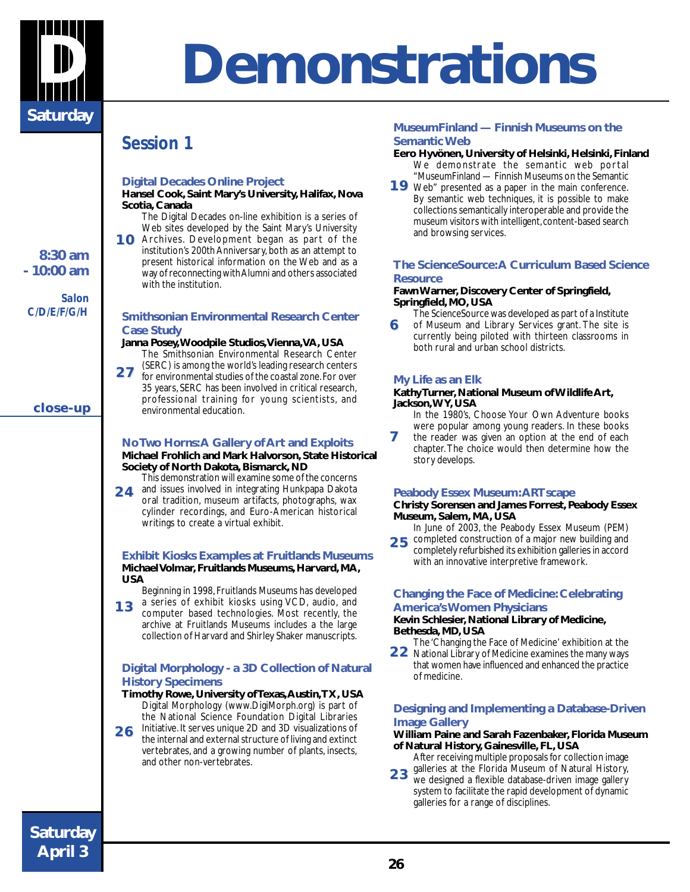

## **D Demonstrations**

### *Session 1*

#### **Digital Decades Online Project**

**Hansel Cook, Saint Mary's University, Halifax, Nova Scotia, Canada**

- The Digital Decades on-line exhibition is a series of Web sites developed by the Saint Mary's University
- 10 Archives. Development began as part of the institution's 200th Anniversary, both as an attempt to present historical information on the Web and as a way of reconnecting with Alumni and others associated with the institution.

#### **Smithsonian Environmental Research Center Case Study**

#### **Janna Posey, Woodpile Studios, Vienna, VA, USA**

The Smithsonian Environmental Research Center (SERC) is among the world's leading research centers

for environmental studies of the coastal zone. For over 35 years, SERC has been involved in critical research, professional training for young scientists, and environmental education. **2 7** 

#### **No Two Horns: A Gallery of Art and Exploits**

#### **Michael Frohlich and Mark Halvorson, State Historical Society of North Dakota, Bismarck, ND**

This demonstration will examine some of the concerns and issues involved in integrating Hunkpapa Dakota oral tradition, museum artifacts, photographs, wax **2 4** 

cylinder recordings, and Euro-American historical writings to create a virtual exhibit.

#### **Exhibit Kiosks Examples at Fruitlands Museums Michael Volmar, Fruitlands Museums, Harvard, MA, USA**

Beginning in 1998, Fruitlands Museums has developed a series of exhibit kiosks using VCD, audio, and

computer based technologies. Most recently, the archive at Fruitlands Museums includes a the large collection of Harvard and Shirley Shaker manuscripts. **1 3** 

#### **Digital Morphology - a 3D Collection of Natural History Specimens**

- **Timothy Rowe, University of Texas, Austin, TX, USA** Digital Morphology (www.DigiMorph.org) is part of the National Science Foundation Digital Libraries Initiative. It serves unique 2D and 3D visualizations of
- the internal and external structure of living and extinct vertebrates, and a growing number of plants, insects, and other non-vertebrates. **2 6**

#### **MuseumFinland — Finnish Museums on the Semantic Web**

#### **Eero Hyvönen, University of Helsinki, Helsinki, Finland** We demonstrate the semantic web portal

"MuseumFinland — Finnish Museums on the Semantic Web" presented as a paper in the main conference. **1 9**  By semantic web techniques, it is possible to make collections semantically interoperable and provide the museum visitors with intelligent, content-based search and browsing services.

#### **The ScienceSource: A Curriculum Based Science Resource**

#### **Fawn Warner, Discovery Center of Springfield, Springfield, MO, USA**

- The ScienceSource was developed as part of a Institute of Museum and Library Services grant. The site is **6**
- currently being piloted with thirteen classrooms in both rural and urban school districts.

#### **My Life as an Elk**

#### **Kathy Turner, National Museum of Wildlife Art, Jackson, WY, USA**

In the 1980's, Choose Your Own Adventure books were popular among young readers. In these books

the reader was given an option at the end of each chapter. The choice would then determine how the story develops. **7**

#### **Peabody Essex Museum: ARTscape**

#### **Christy Sorensen and James Forrest, Peabody Essex Museum, Salem, MA, USA**

In June of 2003, the Peabody Essex Museum (PEM)

25 **completed construction of a major new building and<br>
25 <b>Completely refurbished its exhibition galleries** in accord completely refurbished its exhibition galleries in accord with an innovative interpretive framework.

#### **Changing the Face of Medicine: Celebrating America's Women Physicians**

#### **Kevin Schlesier, National Library of Medicine, Bethesda, MD, USA**

The 'Changing the Face of Medicine' exhibition at the National Library of Medicine examines the many ways that women have influenced and enhanced the practice of medicine. **2 2** 

#### **Designing and Implementing a Database-Driven Image Gallery**

#### **William Paine and Sarah Fazenbaker, Florida Museum of Natural History, Gainesville, FL, USA**

After receiving multiple proposals for collection image galleries at the Florida Museum of Natural History,

we designed a flexible database-driven image gallery system to facilitate the rapid development of dynamic galleries for a range of disciplines. **2 3** 

### **Saturday April 3**

#### **8:30 am - 10:00 am**

*Salon C/D/E/F/G/H*

**close-up close-up**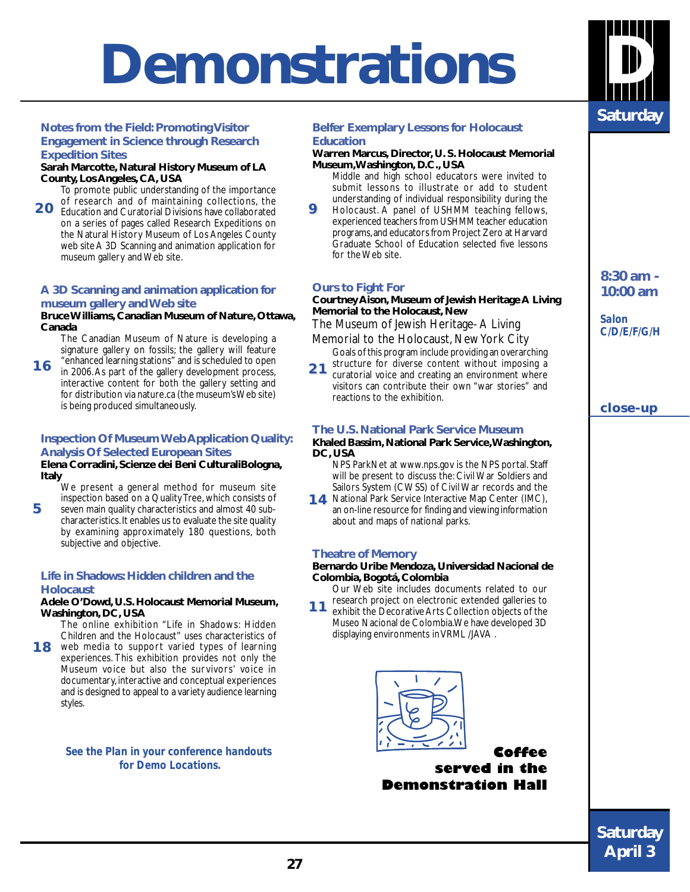## **Demonstrations D**

#### **Notes from the Field: Promoting Visitor Engagement in Science through Research Expedition Sites**

#### **Sarah Marcotte, Natural History Museum of LA County, Los Angeles, CA, USA**

To promote public understanding of the importance of research and of maintaining collections, the

Education and Curatorial Divisions have collaborated on a series of pages called Research Expeditions on the Natural History Museum of Los Angeles County web site A 3D Scanning and animation application for museum gallery and Web site. **2 0** 

#### **A 3D Scanning and animation application for museum gallery and Web site**

#### **Bruce Williams, Canadian Museum of Nature, Ottawa, Canada**

The Canadian Museum of Nature is developing a signature gallery on fossils; the gallery will feature

"enhanced learning stations" and is scheduled to open in 2006. As part of the gallery development process, interactive content for both the gallery setting and for distribution via nature.ca (the museum's Web site) is being produced simultaneously. **1 6** 

#### **Inspection Of Museum Web Application Quality: Analysis Of Selected European Sites**

#### **Elena Corradini, Scienze dei Beni CulturaliBologna, Italy**

We present a general method for museum site inspection based on a Quality Tree, which consists of

seven main quality characteristics and almost 40 subcharacteristics. It enables us to evaluate the site quality by examining approximately 180 questions, both subjective and objective. **5**

#### **Life in Shadows: Hidden children and the Holocaust**

#### **Adele O'Dowd, U.S. Holocaust Memorial Museum, Washington, DC, USA**

The online exhibition "Life in Shadows: Hidden Children and the Holocaust" uses characteristics of

18 web media to support varied types of learning experiences. This exhibition provides not only the Museum voice but also the survivors' voice in documentary, interactive and conceptual experiences and is designed to appeal to a variety audience learning styles.

> *See the Plan in your conference handouts for Demo Locations.*

#### **Belfer Exemplary Lessons for Holocaust Education**

#### **Warren Marcus, Director, U. S. Holocaust Memorial Museum,Washington, D.C., USA**

- Middle and high school educators were invited to submit lessons to illustrate or add to student understanding of individual responsibility during the
- Holocaust. A panel of USHMM teaching fellows, experienced teachers from USHMM teacher education programs, and educators from Project Zero at Harvard Graduate School of Education selected five lessons for the Web site. **9**

#### **Ours to Fight For**

#### **Courtney Aison, Museum of Jewish Heritage A Living Memorial to the Holocaust, New**

The Museum of Jewish Heritage- A Living

- Memorial to the Holocaust, New York City Goals of this program include providing an overarching
- structure for diverse content without imposing a curatorial voice and creating an environment where visitors can contribute their own "war stories" and reactions to the exhibition. **2 1**

#### **The U.S. National Park Service Museum**

#### **Khaled Bassim, National Park Service, Washington, DC, USA**

NPS ParkNet at www.nps.gov is the NPS portal. Staff will be present to discuss the: Civil War Soldiers and Sailors System (CWSS) of Civil War records and the

14 National Park Service Interactive Map Center (IMC), an on-line resource for finding and viewing information about and maps of national parks.

#### **Theatre of Memory**

#### **Bernardo Uribe Mendoza, Universidad Nacional de Colombia, Bogotá, Colombia**

Our Web site includes documents related to our research project on electronic extended galleries to

exhibit the Decorative Arts Collection objects of the Museo Nacional de Colombia. We have developed 3D displaying environments in VRML /JAVA . **1 1** 



#### **Coffee served in the Demonstration Hall**

**8:30 am - 10:00 am**

*Salon C/D/E/F/G/H*

#### **close-up close-up**

**Saturday <sup>27</sup> Saturday April 3**

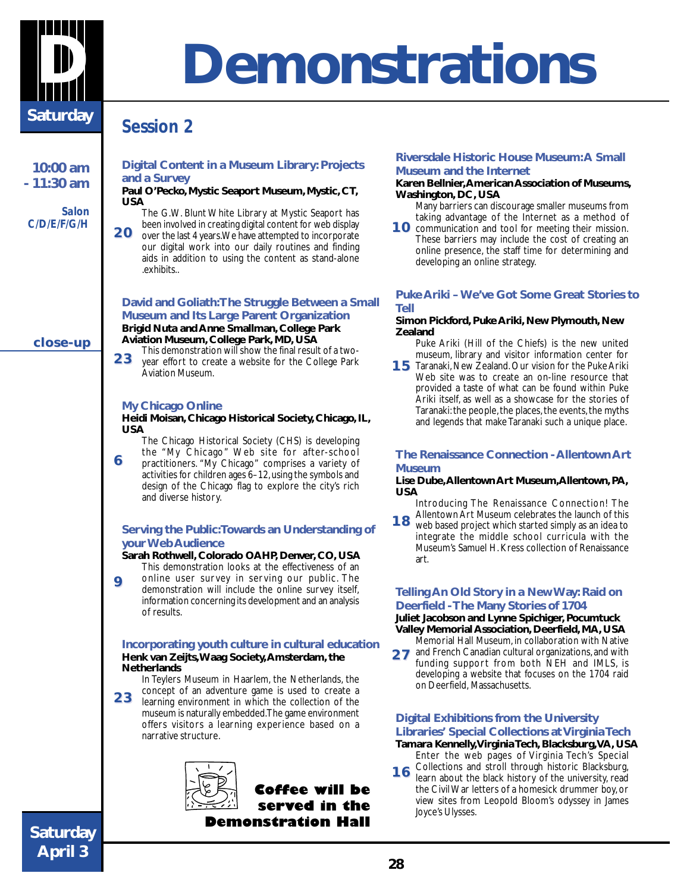

## **D Demonstrations**

### *Session 2*

**10:00 am - 11:30 am**

*Salon C/D/E/F/G/H*

**close-up close-up**

#### **Digital Content in a Museum Library: Projects and a Survey**

**Paul O'Pecko, Mystic Seaport Museum, Mystic, CT, USA** The G.W. Blunt White Library at Mystic Seaport has

been involved in creating digital content for web display over the last 4 years. We have attempted to incorporate **2 0** 

our digital work into our daily routines and finding aids in addition to using the content as stand-alone .exhibits..

#### **David and Goliath: The Struggle Between a Small Museum and Its Large Parent Organization Brigid Nuta and Anne Smallman, College Park Aviation Museum, College Park, MD, USA**

This demonstration will show the final result of a two-**2 3** 

year effort to create a website for the College Park Aviation Museum.

#### **My Chicago Online**

**Heidi Moisan, Chicago Historical Society, Chicago, IL, USA**

The Chicago Historical Society (CHS) is developing the "My Chicago" Web site for after-school

practitioners. "My Chicago" comprises a variety of activities for children ages 6–12, using the symbols and design of the Chicago flag to explore the city's rich and diverse history. **6**

#### **Serving the Public: Towards an Understanding of your Web Audience**

**Sarah Rothwell, Colorado OAHP, Denver, CO, USA**

This demonstration looks at the effectiveness of an online user survey in serving our public. The demonstration will include the online survey itself, information concerning its development and an analysis of results. **9**

#### **Incorporating youth culture in cultural education Henk van Zeijts, Waag Society, Amsterdam, the Netherlands**

In Teylers Museum in Haarlem, the Netherlands, the concept of an adventure game is used to create a

learning environment in which the collection of the museum is naturally embedded. The game environment offers visitors a learning experience based on a narrative structure. **2 3** 



**Coffee will be served in the Demonstration Hall**

#### **Riversdale Historic House Museum: A Small Museum and the Internet**

#### **Karen Bellnier, American Association of Museums, Washington, DC, USA**

Many barriers can discourage smaller museums from taking advantage of the Internet as a method of

10 communication and tool for meeting their mission. These barriers may include the cost of creating an online presence, the staff time for determining and developing an online strategy.

#### **Puke Ariki – We've Got Some Great Stories to Tell**

#### **Simon Pickford, Puke Ariki, New Plymouth, New Zealand**

Puke Ariki (Hill of the Chiefs) is the new united museum, library and visitor information center for

**15** Taranaki, New Zealand. Our vision for the Puke Ariki Web site was to create an on-line resource that provided a taste of what can be found within Puke Ariki itself, as well as a showcase for the stories of Taranaki: the people, the places, the events, the myths and legends that make Taranaki such a unique place.

#### **The Renaissance Connection - Allentown Art Museum**

#### **Lise Dube, Allentown Art Museum,Allentown, PA, USA**

Introducing The Renaissance Connection! The Allentown Art Museum celebrates the launch of this

web based project which started simply as an idea to integrate the middle school curricula with the Museum's Samuel H. Kress collection of Renaissance art. **1 8** 

#### **Telling An Old Story in a New Way: Raid on Deerfield - The Many Stories of 1704**

**Juliet Jacobson and Lynne Spichiger, Pocumtuck Valley Memorial Association, Deerfield, MA, USA**

Memorial Hall Museum, in collaboration with Native and French Canadian cultural organizations, and with funding support from both NEH and IMLS, is developing a website that focuses on the 1704 raid on Deerfield, Massachusetts. **2 7** 

#### **Digital Exhibitions from the University Libraries' Special Collections at Virginia Tech**

**Tamara Kennelly,Virginia Tech, Blacksburg, VA, USA** Enter the web pages of Virginia Tech's Special

Collections and stroll through historic Blacksburg, learn about the black history of the university, read the Civil War letters of a homesick drummer boy, or view sites from Leopold Bloom's odyssey in James Joyce's Ulysses. **1 6**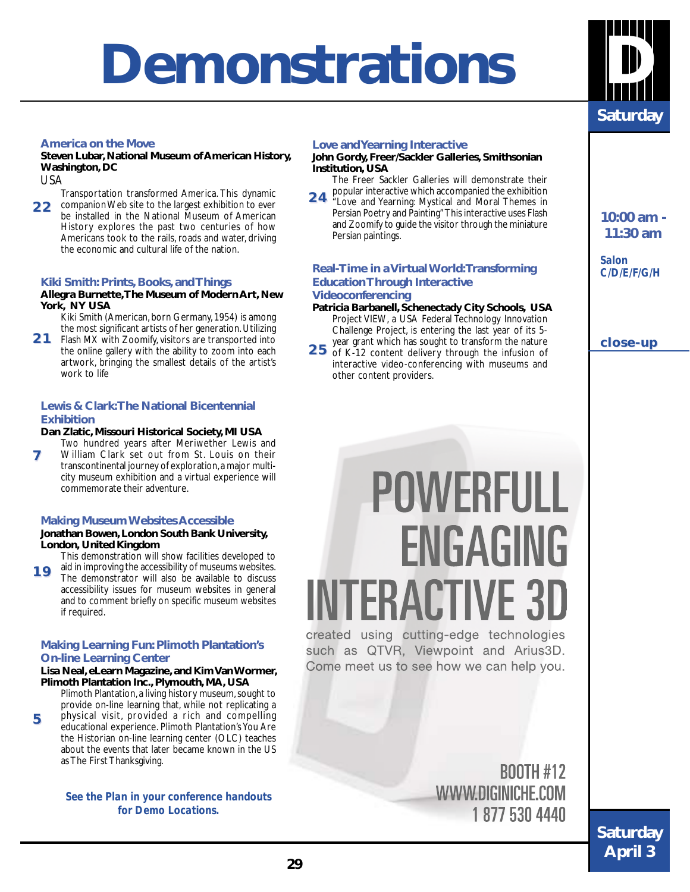## **Demonstrations**



#### **America on the Move**

#### **Steven Lubar, National Museum of American History, Washington, DC**

USA

**5**

Transportation transformed America. This dynamic companion Web site to the largest exhibition to ever **2 2**  be installed in the National Museum of American History explores the past two centuries of how Americans took to the rails, roads and water, driving the economic and cultural life of the nation.

#### **Kiki Smith: Prints, Books, and Things**

#### **Allegra Burnette, The Museum of Modern Art, New York, NY USA**

Kiki Smith (American, born Germany, 1954) is among the most significant artists of her generation. Utilizing Flash MX with Zoomify, visitors are transported into

the online gallery with the ability to zoom into each artwork, bringing the smallest details of the artist's work to life **2 1** 

#### **Lewis & Clark: The National Bicentennial Exhibition**

#### **Dan Zlatic, Missouri Historical Society, MI USA**

Two hundred years after Meriwether Lewis and

William Clark set out from St. Louis on their transcontinental journey of exploration, a major multicity museum exhibition and a virtual experience will commemorate their adventure. **7**

#### **Making Museum Websites Accessible**

#### **Jonathan Bowen, London South Bank University, London, United Kingdom**

This demonstration will show facilities developed to

aid in improving the accessibility of museums websites. The demonstrator will also be available to discuss accessibility issues for museum websites in general and to comment briefly on specific museum websites if required. **1 9** 

#### **Making Learning Fun: Plimoth Plantation's On-line Learning Center**

#### **Lisa Neal, eLearn Magazine, and Kim Van Wormer, Plimoth Plantation Inc., Plymouth, MA, USA**

Plimoth Plantation, a living history museum, sought to provide on-line learning that, while not replicating a physical visit, provided a rich and compelling educational experience. Plimoth Plantation's You Are the Historian on-line learning center (OLC) teaches about the events that later became known in the US as The First Thanksgiving.

*See the Plan in your conference handouts for Demo Locations.*

#### **Love and Yearning Interactive**

#### **John Gordy, Freer/Sackler Galleries, Smithsonian Institution, USA**

The Freer Sackler Galleries will demonstrate their popular interactive which accompanied the exhibition

"Love and Yearning: Mystical and Moral Themes in Persian Poetry and Painting" This interactive uses Flash and Zoomify to guide the visitor through the miniature Persian paintings. **2 4** 

#### **Real-Time in a Virtual World: Transforming Education Through Interactive Videoconferencing**

- **Patricia Barbanell, Schenectady City Schools, USA** Project VIEW, a USA Federal Technology Innovation Challenge Project, is entering the last year of its 5-
- year grant which has sought to transform the nature 25 of K-12 content delivery through the infusion of interactive video-conferencing with museums and other content providers.

**10:00 am - 11:30 am**

*Salon C/D/E/F/G/H*

**close-up close-up**

## **POWERFULL** ENGAGING **INTERACTIVE 3D**

created using cutting-edge technologies such as QTVR, Viewpoint and Arius3D. Come meet us to see how we can help you.

> **BOOTH #12** WWW.DIGINICHE.COM 18775304440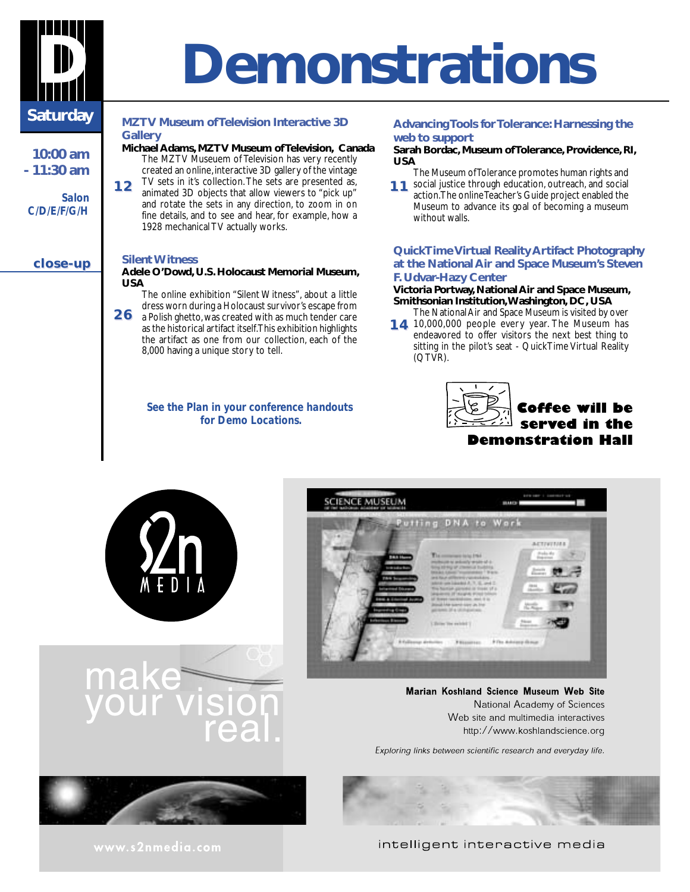

**10:00 am - 11:30 am**

**close-up close-up**

*Salon C/D/E/F/G/H*

## **D Demonstrations**

#### **MZTV Museum of Television Interactive 3D Gallery**

- **Michael Adams, MZTV Museum of Television, Canada** The MZTV Museuem of Television has very recently created an online, interactive 3D gallery of the vintage
- TV sets in it's collection. The sets are presented as, animated 3D objects that allow viewers to "pick up" and rotate the sets in any direction, to zoom in on fine details, and to see and hear, for example, how a 1928 mechanical TV actually works. **1 2**

#### **Silent Witness**

#### **Adele O'Dowd, U.S. Holocaust Memorial Museum, USA**

- The online exhibition "Silent Witness", about a little dress worn during a Holocaust survivor's escape from
- a Polish ghetto, was created with as much tender care as the historical artifact itself. This exhibition highlights the artifact as one from our collection, each of the 8,000 having a unique story to tell. **2 6**

#### *See the Plan in your conference handouts for Demo Locations.*

#### **Advancing Tools for Tolerance: Harnessing the web to support**

#### **Sarah Bordac, Museum of Tolerance, Providence, RI, USA**

- The Museum of Tolerance promotes human rights and
- 11 social justice through education, outreach, and social<br> **11 1 action The opline Teacher's Guide project analysed the** action. The online Teacher's Guide project enabled the Museum to advance its goal of becoming a museum without walls.

#### **QuickTime Virtual Reality Artifact Photography at the National Air and Space Museum's Steven F. Udvar-Hazy Center**

#### **Victoria Portway, National Air and Space Museum, Smithsonian Institution, Washington, DC, USA**

- The National Air and Space Museum is visited by over **14** 10,000,000 people every year. The Museum has
- endeavored to offer visitors the next best thing to sitting in the pilot's seat - QuickTime Virtual Reality (QTVR).







Marian Koshland Science Museum Web Site National Academy of Sciences Web site and multimedia interactives http://www.koshlandscience.org

Exploring links between scientific research and everyday life.





**Saturday**

**April 3**

intelligent interactive media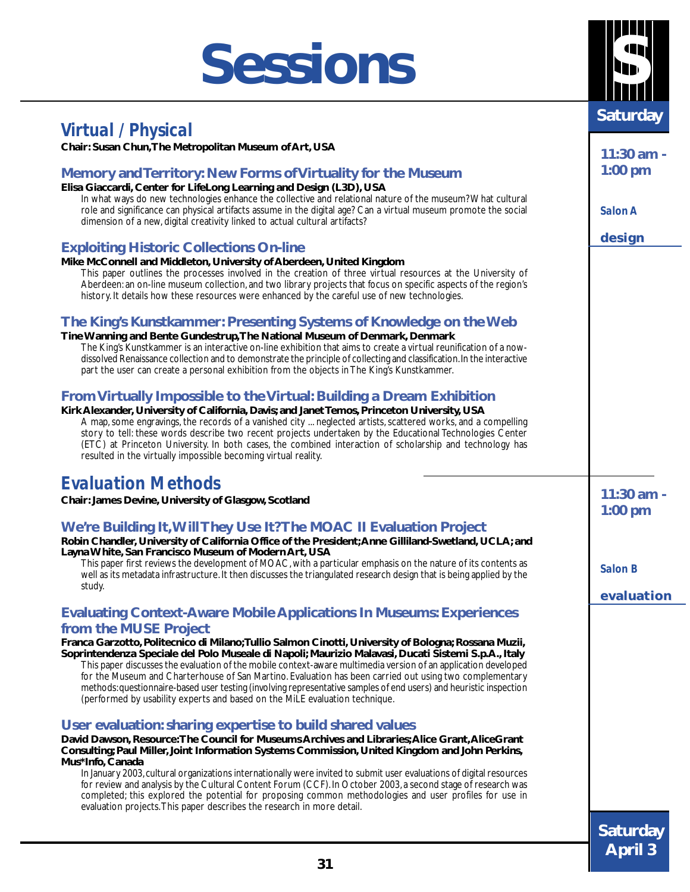## **Sessions**

## *Virtual / Physical*

**Chair: Susan Chun, The Metropolitan Museum of Art, USA**

#### **Memory and Territory: New Forms of Virtuality for the Museum**

**Elisa Giaccardi, Center for LifeLong Learning and Design (L3D), USA**

In what ways do new technologies enhance the collective and relational nature of the museum? What cultural role and significance can physical artifacts assume in the digital age? Can a virtual museum promote the social dimension of a new, digital creativity linked to actual cultural artifacts?

#### **Exploiting Historic Collections On-line**

**Mike McConnell and Middleton, University of Aberdeen, United Kingdom** This paper outlines the processes involved in the creation of three virtual resources at the University of Aberdeen: an on-line museum collection, and two library projects that focus on specific aspects of the region's history. It details how these resources were enhanced by the careful use of new technologies.

#### **The King's Kunstkammer: Presenting Systems of Knowledge on the Web**

**Tine Wanning and Bente Gundestrup, The National Museum of Denmark, Denmark** The King's Kunstkammer is an interactive on-line exhibition that aims to create a virtual reunification of a nowdissolved Renaissance collection and to demonstrate the principle of collecting and classification. In the interactive part the user can create a personal exhibition from the objects in The King's Kunstkammer.

#### **From Virtually Impossible to the Virtual: Building a Dream Exhibition**

**Kirk Alexander, University of California, Davis; and Janet Temos, Princeton University, USA** A map, some engravings, the records of a vanished city ... neglected artists, scattered works, and a compelling story to tell: these words describe two recent projects undertaken by the Educational Technologies Center (ETC) at Princeton University. In both cases, the combined interaction of scholarship and technology has resulted in the virtually impossible becoming virtual reality.

### *Evaluation Methods*

**Chair: James Devine, University of Glasgow, Scotland**

#### **We're Building It, Will They Use It? The MOAC II Evaluation Project**

**Robin Chandler, University of California Office of the President; Anne Gilliland-Swetland, UCLA; and Layna White, San Francisco Museum of Modern Art, USA**

This paper first reviews the development of MOAC, with a particular emphasis on the nature of its contents as well as its metadata infrastructure. It then discusses the triangulated research design that is being applied by the study.

#### **Evaluating Context-Aware Mobile Applications In Museums: Experiences from the MUSE Project**

**Franca Garzotto, Politecnico di Milano; Tullio Salmon Cinotti, University of Bologna; Rossana Muzii, Soprintendenza Speciale del Polo Museale di Napoli; Maurizio Malavasi, Ducati Sistemi S.p.A., Italy**

This paper discusses the evaluation of the mobile context-aware multimedia version of an application developed for the Museum and Charterhouse of San Martino. Evaluation has been carried out using two complementary methods: questionnaire-based user testing (involving representative samples of end users) and heuristic inspection (performed by usability experts and based on the MiLE evaluation technique.

#### **User evaluation: sharing expertise to build shared values**

**David Dawson, Resource: The Council for Museums Archives and Libraries; Alice Grant, AliceGrant Consulting; Paul Miller, Joint Information Systems Commission, United Kingdom and John Perkins, Mus\*Info, Canada**

In January 2003, cultural organizations internationally were invited to submit user evaluations of digital resources for review and analysis by the Cultural Content Forum (CCF). In October 2003, a second stage of research was completed; this explored the potential for proposing common methodologies and user profiles for use in evaluation projects. This paper describes the research in more detail.

**11:30 am - 1:00 pm**

*Salon A*

**design**

**11:30 am - 1:00 pm**

*Salon B*

**evaluation evaluation**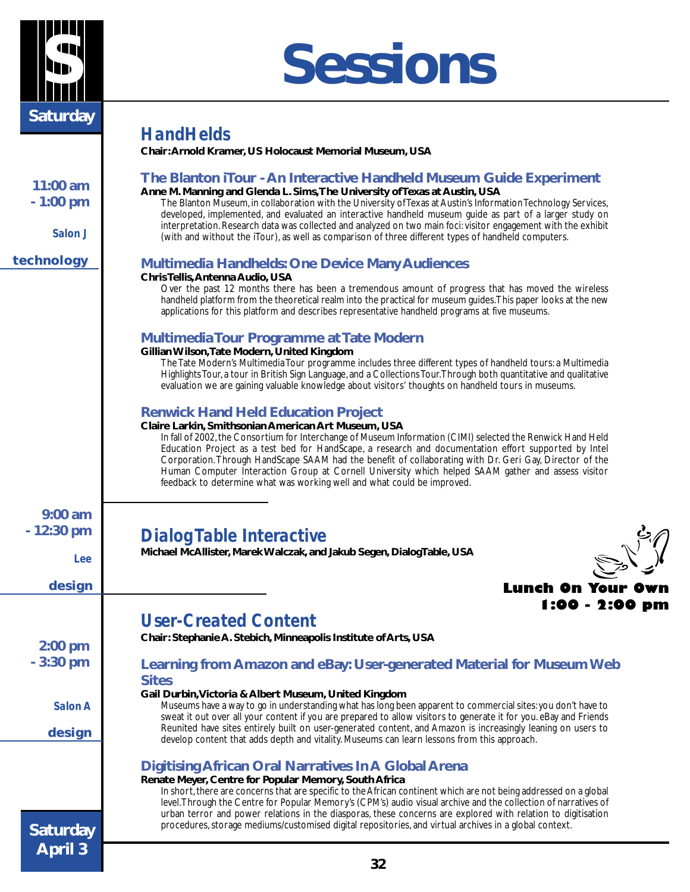

## **S Sessions**

| <b>Saturday</b>                   |                                                                                                                                                                                                                                                                                                                                                                                                                                                                                                                                                                                                         |
|-----------------------------------|---------------------------------------------------------------------------------------------------------------------------------------------------------------------------------------------------------------------------------------------------------------------------------------------------------------------------------------------------------------------------------------------------------------------------------------------------------------------------------------------------------------------------------------------------------------------------------------------------------|
|                                   | <b>HandHelds</b>                                                                                                                                                                                                                                                                                                                                                                                                                                                                                                                                                                                        |
|                                   | Chair: Arnold Kramer, US Holocaust Memorial Museum, USA                                                                                                                                                                                                                                                                                                                                                                                                                                                                                                                                                 |
| 11:00 am<br>$-1:00$ pm<br>Salon J | The Blanton iTour - An Interactive Handheld Museum Guide Experiment<br>Anne M. Manning and Glenda L. Sims, The University of Texas at Austin, USA<br>The Blanton Museum, in collaboration with the University of Texas at Austin's Information Technology Services,<br>developed, implemented, and evaluated an interactive handheld museum guide as part of a larger study on<br>interpretation. Research data was collected and analyzed on two main foci: visitor engagement with the exhibit<br>(with and without the iTour), as well as comparison of three different types of handheld computers. |
| technology                        | <b>Multimedia Handhelds: One Device Many Audiences</b>                                                                                                                                                                                                                                                                                                                                                                                                                                                                                                                                                  |
|                                   | Chris Tellis, Antenna Audio, USA<br>Over the past 12 months there has been a tremendous amount of progress that has moved the wireless<br>handheld platform from the theoretical realm into the practical for museum guides. This paper looks at the new<br>applications for this platform and describes representative handheld programs at five museums.                                                                                                                                                                                                                                              |
|                                   | <b>Multimedia Tour Programme at Tate Modern</b><br>Gillian Wilson, Tate Modern, United Kingdom<br>The Tate Modern's Multimedia Tour programme includes three different types of handheld tours: a Multimedia<br>Highlights Tour, a tour in British Sign Language, and a Collections Tour. Through both quantitative and qualitative<br>evaluation we are gaining valuable knowledge about visitors' thoughts on handheld tours in museums.                                                                                                                                                              |
|                                   | <b>Renwick Hand Held Education Project</b>                                                                                                                                                                                                                                                                                                                                                                                                                                                                                                                                                              |
|                                   | Claire Larkin, Smithsonian American Art Museum, USA<br>In fall of 2002, the Consortium for Interchange of Museum Information (CIMI) selected the Renwick Hand Held<br>Education Project as a test bed for HandScape, a research and documentation effort supported by Intel<br>Corporation. Through HandScape SAAM had the benefit of collaborating with Dr. Geri Gay, Director of the<br>Human Computer Interaction Group at Cornell University which helped SAAM gather and assess visitor<br>feedback to determine what was working well and what could be improved.                                 |
| $9:00$ am                         |                                                                                                                                                                                                                                                                                                                                                                                                                                                                                                                                                                                                         |
| $-12:30$ pm                       | <b>Dialog Table Interactive</b>                                                                                                                                                                                                                                                                                                                                                                                                                                                                                                                                                                         |
| Lee                               | Michael McAllister, Marek Walczak, and Jakub Segen, Dialog Table, USA                                                                                                                                                                                                                                                                                                                                                                                                                                                                                                                                   |
| design                            | Lunch On Your                                                                                                                                                                                                                                                                                                                                                                                                                                                                                                                                                                                           |
|                                   | 1:00 - 2:00 pm                                                                                                                                                                                                                                                                                                                                                                                                                                                                                                                                                                                          |
|                                   | <b>User-Created Content</b>                                                                                                                                                                                                                                                                                                                                                                                                                                                                                                                                                                             |
| $2:00$ pm                         | Chair: Stephanie A. Stebich, Minneapolis Institute of Arts, USA                                                                                                                                                                                                                                                                                                                                                                                                                                                                                                                                         |
| $-3:30$ pm                        | Learning from Amazon and eBay: User-generated Material for Museum Web<br><b>Sites</b>                                                                                                                                                                                                                                                                                                                                                                                                                                                                                                                   |
| Salon A                           | Gail Durbin, Victoria & Albert Museum, United Kingdom<br>Museums have a way to go in understanding what has long been apparent to commercial sites: you don't have to<br>sweat it out over all your content if you are prepared to allow visitors to generate it for you. eBay and Friends<br>Reunited have sites entirely built on user-generated content, and Amazon is increasingly leaning on users to                                                                                                                                                                                              |
| design                            | develop content that adds depth and vitality. Museums can learn lessons from this approach.                                                                                                                                                                                                                                                                                                                                                                                                                                                                                                             |
| <b>Saturday</b>                   | <b>Digitising African Oral Narratives In A Global Arena</b><br>Renate Meyer, Centre for Popular Memory, South Africa<br>In short, there are concerns that are specific to the African continent which are not being addressed on a global<br>level. Through the Centre for Popular Memory's (CPM's) audio visual archive and the collection of narratives of<br>urban terror and power relations in the diasporas, these concerns are explored with relation to digitisation<br>procedures, storage mediums/customised digital repositories, and virtual archives in a global context.                  |
| <b>April 3</b>                    | 32                                                                                                                                                                                                                                                                                                                                                                                                                                                                                                                                                                                                      |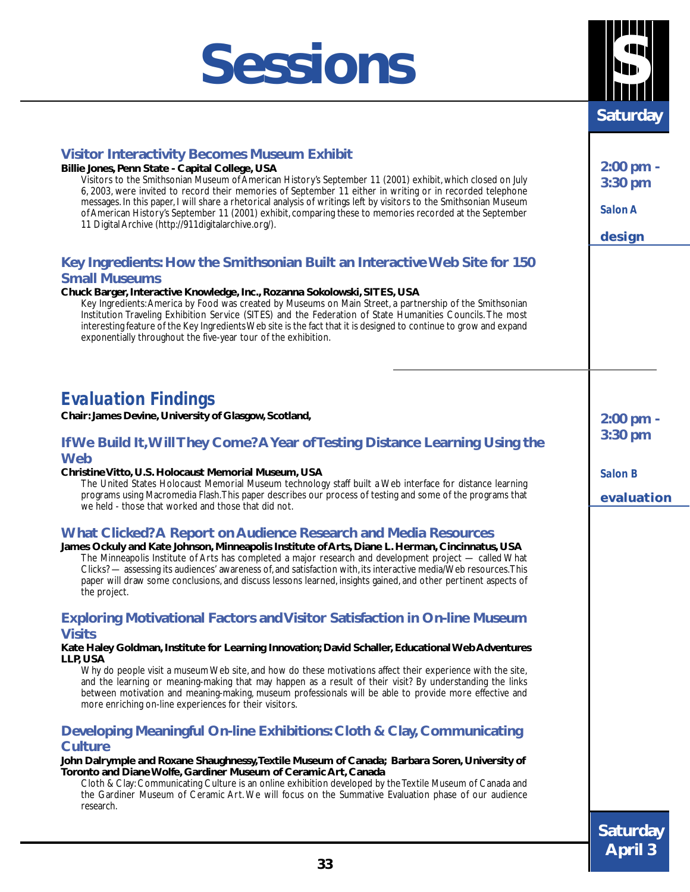## **Sessions**



| <b>Visitor Interactivity Becomes Museum Exhibit</b><br>Billie Jones, Penn State - Capital College, USA<br>Visitors to the Smithsonian Museum of American History's September 11 (2001) exhibit, which closed on July<br>6, 2003, were invited to record their memories of September 11 either in writing or in recorded telephone<br>messages. In this paper, I will share a rhetorical analysis of writings left by visitors to the Smithsonian Museum<br>of American History's September 11 (2001) exhibit, comparing these to memories recorded at the September<br>11 Digital Archive (http://911digitalarchive.org/).<br>Key Ingredients: How the Smithsonian Built an Interactive Web Site for 150 | $2:00$ pm -<br>3:30 pm<br>Salon A<br>design |
|----------------------------------------------------------------------------------------------------------------------------------------------------------------------------------------------------------------------------------------------------------------------------------------------------------------------------------------------------------------------------------------------------------------------------------------------------------------------------------------------------------------------------------------------------------------------------------------------------------------------------------------------------------------------------------------------------------|---------------------------------------------|
| <b>Small Museums</b><br>Chuck Barger, Interactive Knowledge, Inc., Rozanna Sokolowski, SITES, USA<br>Key Ingredients: America by Food was created by Museums on Main Street, a partnership of the Smithsonian<br>Institution Traveling Exhibition Service (SITES) and the Federation of State Humanities Councils. The most<br>interesting feature of the Key Ingredients Web site is the fact that it is designed to continue to grow and expand<br>exponentially throughout the five-year tour of the exhibition.                                                                                                                                                                                      |                                             |
| <b>Evaluation Findings</b>                                                                                                                                                                                                                                                                                                                                                                                                                                                                                                                                                                                                                                                                               |                                             |
| Chair: James Devine, University of Glasgow, Scotland,                                                                                                                                                                                                                                                                                                                                                                                                                                                                                                                                                                                                                                                    | $2:00$ pm -                                 |
| If We Build It, Will They Come? A Year of Testing Distance Learning Using the<br><b>Web</b>                                                                                                                                                                                                                                                                                                                                                                                                                                                                                                                                                                                                              | 3:30 pm                                     |
| Christine Vitto, U.S. Holocaust Memorial Museum, USA<br>The United States Holocaust Memorial Museum technology staff built a Web interface for distance learning<br>programs using Macromedia Flash. This paper describes our process of testing and some of the programs that<br>we held - those that worked and those that did not.                                                                                                                                                                                                                                                                                                                                                                    | <b>Salon B</b><br>evaluation                |
| <b>What Clicked? A Report on Audience Research and Media Resources</b><br>James Ockuly and Kate Johnson, Minneapolis Institute of Arts, Diane L. Herman, Cincinnatus, USA<br>The Minneapolis Institute of Arts has completed a major research and development project — called What<br>Clicks? — assessing its audiences' awareness of, and satisfaction with, its interactive media/Web resources. This<br>paper will draw some conclusions, and discuss lessons learned, insights gained, and other pertinent aspects of<br>the project.                                                                                                                                                               |                                             |
| <b>Exploring Motivational Factors and Visitor Satisfaction in On-line Museum</b><br><b>Visits</b>                                                                                                                                                                                                                                                                                                                                                                                                                                                                                                                                                                                                        |                                             |
| Kate Haley Goldman, Institute for Learning Innovation; David Schaller, Educational Web Adventures                                                                                                                                                                                                                                                                                                                                                                                                                                                                                                                                                                                                        |                                             |
| LLP, USA<br>Why do people visit a museum Web site, and how do these motivations affect their experience with the site,<br>and the learning or meaning-making that may happen as a result of their visit? By understanding the links<br>between motivation and meaning-making, museum professionals will be able to provide more effective and<br>more enriching on-line experiences for their visitors.                                                                                                                                                                                                                                                                                                  |                                             |
| Developing Meaningful On-line Exhibitions: Cloth & Clay, Communicating                                                                                                                                                                                                                                                                                                                                                                                                                                                                                                                                                                                                                                   |                                             |
| <b>Culture</b><br>John Dalrymple and Roxane Shaughnessy, Textile Museum of Canada; Barbara Soren, University of<br>Toronto and Diane Wolfe, Gardiner Museum of Ceramic Art, Canada<br>Cloth & Clay: Communicating Culture is an online exhibition developed by the Textile Museum of Canada and<br>the Gardiner Museum of Ceramic Art. We will focus on the Summative Evaluation phase of our audience<br>research.                                                                                                                                                                                                                                                                                      |                                             |
|                                                                                                                                                                                                                                                                                                                                                                                                                                                                                                                                                                                                                                                                                                          | <b>Saturday</b>                             |
|                                                                                                                                                                                                                                                                                                                                                                                                                                                                                                                                                                                                                                                                                                          | <b>April 3</b>                              |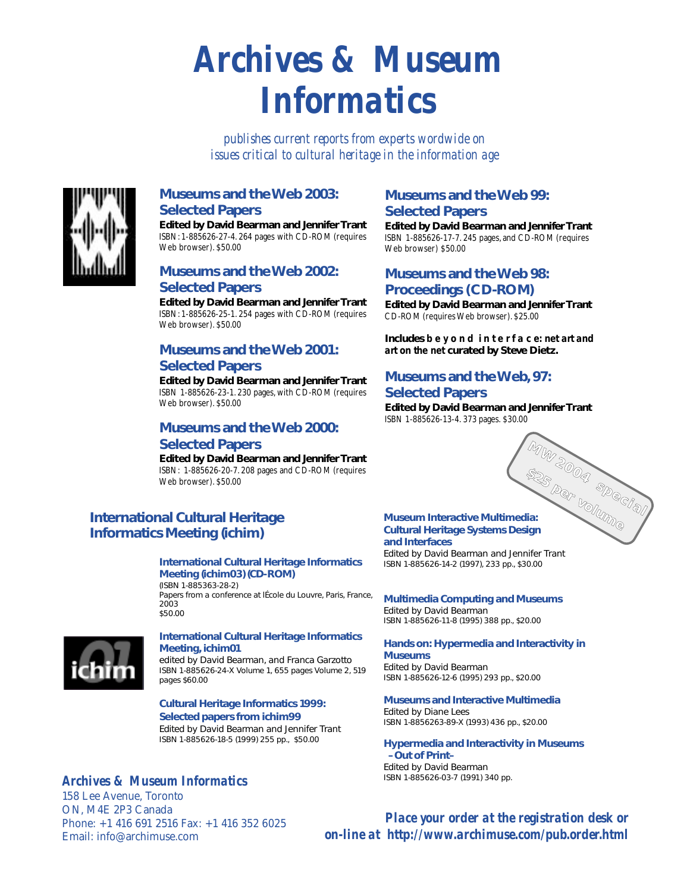## *Archives & Museum Informatics*

*publishes current reports from experts wordwide on issues critical to cultural heritage in the information age*



#### **Museums and the Web 2003: Selected Papers**

**Edited by David Bearman and Jennifer Trant** ISBN: 1-885626-27-4. 264 pages with CD-ROM (requires Web browser). \$50.00

#### **Museums and the Web 2002: Selected Papers**

**Edited by David Bearman and Jennifer Trant** ISBN: 1-885626-25-1. 254 pages with CD-ROM (requires Web browser). \$50.00

#### **Museums and the Web 2001: Selected Papers**

**Edited by David Bearman and Jennifer Trant** ISBN 1-885626-23-1. 230 pages, with CD-ROM (requires Web browser). \$50.00

#### **Museums and the Web 2000: Selected Papers**

**Edited by David Bearman and Jennifer Trant** ISBN: 1-885626-20-7. 208 pages and CD-ROM (requires Web browser). \$50.00

#### **International Cultural Heritage Informatics Meeting (ichim)**

#### **International Cultural Heritage Informatics Meeting (ichim03) (CD-ROM)**

(ISBN 1-885363-28-2)

Papers from a conference at lÉcole du Louvre, Paris, France, 2003 \$50.00



#### **International Cultural Heritage Informatics Meeting, ichim01**

edited by David Bearman, and Franca Garzotto ISBN 1-885626-24-X Volume 1, 655 pages Volume 2, 519 pages \$60.00

#### **Cultural Heritage Informatics 1999: Selected papers from ichim99**

Edited by David Bearman and Jennifer Trant ISBN 1-885626-18-5 (1999) 255 pp., \$50.00

#### *Archives & Museum Informatics*

158 Lee Avenue, Toronto ON, M4E 2P3 Canada Phone: +1 416 691 2516 Fax: +1 416 352 6025 Email: info@archimuse.com

#### **Museums and the Web 99: Selected Papers**

**Edited by David Bearman and Jennifer Trant** ISBN 1-885626-17-7. 245 pages, and CD-ROM (requires Web browser) \$50.00

#### **Museums and the Web 98: Proceedings (CD-ROM)**

**Edited by David Bearman and Jennifer Trant** CD-ROM (requires Web browser). \$25.00

**Includes b e y o n d i n t e r f a c e: net art and art on the net curated by Steve Dietz.**

#### **Museums and the Web, 97: Selected Papers**

**Edited by David Bearman and Jennifer Trant** ISBN 1-885626-13-4. 373 pages. \$30.00



#### **Museum Interactive Multimedia: Cultural Heritage Systems Design and Interfaces**

Edited by David Bearman and Jennifer Trant ISBN 1-885626-14-2 (1997), 233 pp., \$30.00

**Multimedia Computing and Museums** Edited by David Bearman ISBN 1-885626-11-8 (1995) 388 pp., \$20.00

#### **Hands on: Hypermedia and Interactivity in Museums** Edited by David Bearman

ISBN 1-885626-12-6 (1995) 293 pp., \$20.00

#### **Museums and Interactive Multimedia** Edited by Diane Lees

ISBN 1-8856263-89-X (1993) 436 pp., \$20.00

#### **Hypermedia and Interactivity in Museums –Out of Print–** Edited by David Bearman ISBN 1-885626-03-7 (1991) 340 pp.

*Place your order at the registration desk or on-line at http://www.archimuse.com/pub.order.html*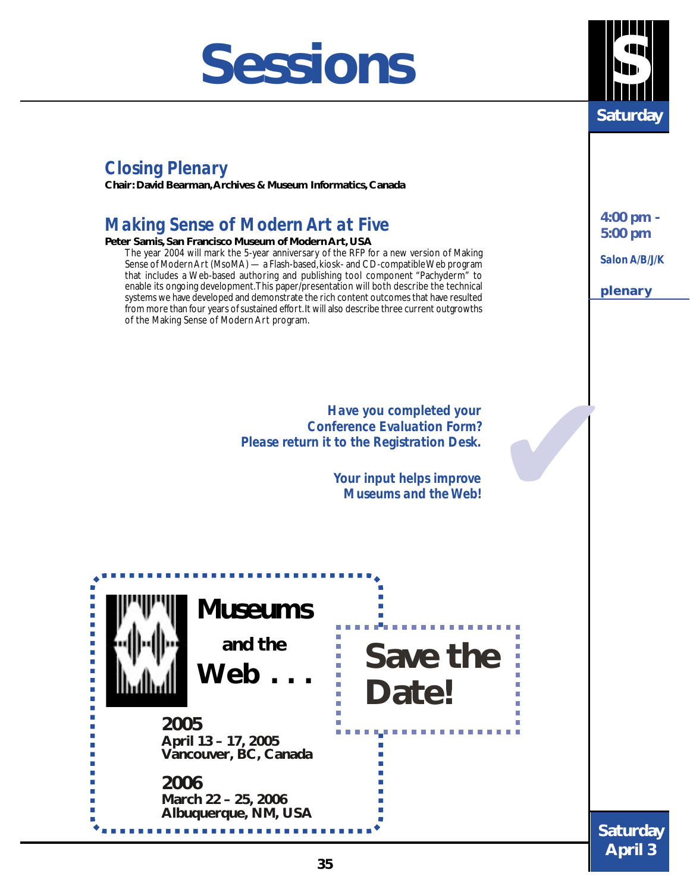## **Sessions**



## *Closing Plenary*

**Chair: David Bearman, Archives & Museum Informatics, Canada**

## *Making Sense of Modern Art at Five*

#### **Peter Samis, San Francisco Museum of Modern Art, USA**

The year 2004 will mark the 5-year anniversary of the RFP for a new version of Making Sense of Modern Art (MsoMA) — a Flash-based, kiosk- and CD-compatible Web program that includes a Web-based authoring and publishing tool component "Pachyderm" to enable its ongoing development. This paper/presentation will both describe the technical systems we have developed and demonstrate the rich content outcomes that have resulted from more than four years of sustained effort. It will also describe three current outgrowths of the Making Sense of Modern Art program.

> *Have you completed your Conference Evaluation Form? Please return it to the Registration Desk.*

> > *Your input helps improve Museums and the Web!*



**4:00 pm - 5:00 pm**

*Salon A/B/J/K*

**plenary plenary**

✔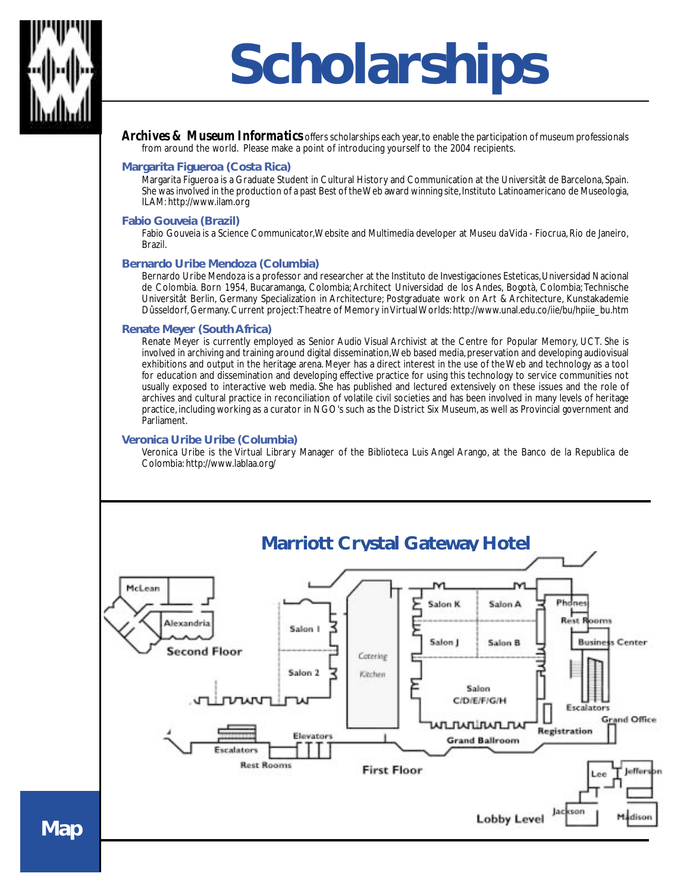

## **Scholarships**

*Archives & Museum Informatics* offers scholarships each year, to enable the participation of museum professionals from around the world. Please make a point of introducing yourself to the 2004 recipients.

#### **Margarita Figueroa (Costa Rica)**

Margarita Figueroa is a Graduate Student in Cultural History and Communication at the Universitât de Barcelona, Spain. She was involved in the production of a past Best of the Web award winning site, Instituto Latinoamericano de Museologia, ILAM: http://www.ilam.org

#### **Fabio Gouveia (Brazil)**

Fabio Gouveia is a Science Communicator, Website and Multimedia developer at Museu da Vida - Fiocrua, Rio de Janeiro, Brazil.

#### **Bernardo Uribe Mendoza (Columbia)**

Bernardo Uribe Mendoza is a professor and researcher at the Instituto de Investigaciones Esteticas, Universidad Nacional de Colombia. Born 1954, Bucaramanga, Colombia; Architect Universidad de los Andes, Bogotà, Colombia; Technische Universitât Berlin, Germany Specialization in Architecture; Postgraduate work on Art & Architecture, Kunstakademie Dûsseldorf, Germany. Current project: Theatre of Memory in Virtual Worlds: http://www.unal.edu.co/iie/bu/hpiie\_bu.htm

#### **Renate Meyer (South Africa)**

Renate Meyer is currently employed as Senior Audio Visual Archivist at the Centre for Popular Memory, UCT. She is involved in archiving and training around digital dissemination, Web based media, preservation and developing audiovisual exhibitions and output in the heritage arena. Meyer has a direct interest in the use of the Web and technology as a tool for education and dissemination and developing effective practice for using this technology to service communities not usually exposed to interactive web media. She has published and lectured extensively on these issues and the role of archives and cultural practice in reconciliation of volatile civil societies and has been involved in many levels of heritage practice, including working as a curator in NGO's such as the District Six Museum, as well as Provincial government and Parliament.

#### **Veronica Uribe Uribe (Columbia)**

Veronica Uribe is the Virtual Library Manager of the Biblioteca Luis Angel Arango, at the Banco de la Republica de Colombia: http://www.lablaa.org/



**Map**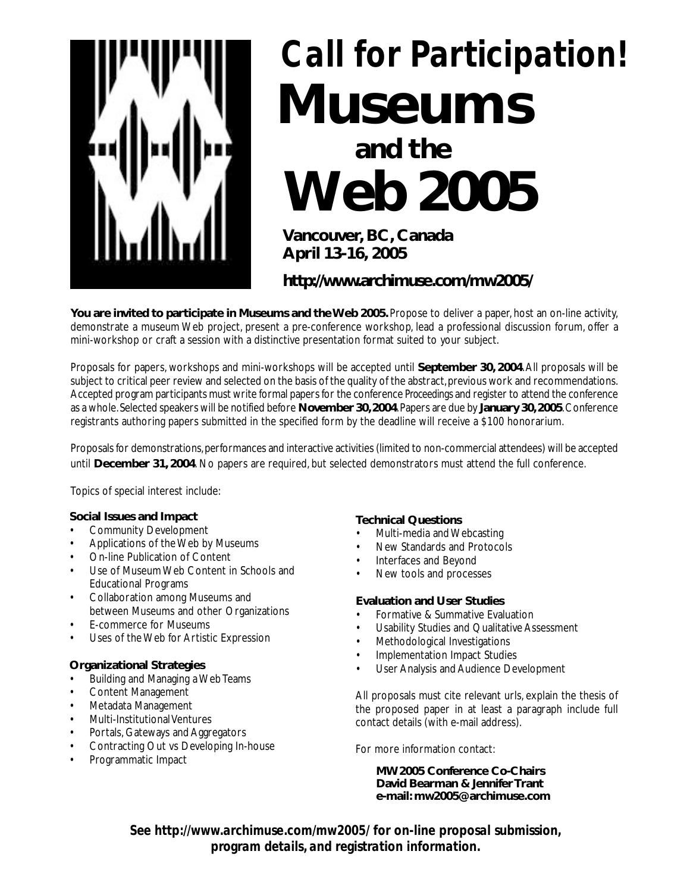

## *Call for Participation!* **Museums**

## **and the Web 2005**

**Vancouver, BC, Canada April 13-16, 2005**

**http://www.archimuse.com/mw2005/**

**You are invited to participate in Museums and the Web 2005.** Propose to deliver a paper, host an on-line activity, demonstrate a museum Web project, present a pre-conference workshop, lead a professional discussion forum, offer a mini-workshop or craft a session with a distinctive presentation format suited to your subject.

Proposals for papers, workshops and mini-workshops will be accepted until **September 30, 2004**. All proposals will be subject to critical peer review and selected on the basis of the quality of the abstract, previous work and recommendations. Accepted program participants must write formal papers for the conference *Proceedings* and register to attend the conference as a whole. Selected speakers will be notified before **November 30, 2004**. Papers are due by **January 30, 2005**. Conference registrants authoring papers submitted in the specified form by the deadline will receive a \$100 honorarium.

Proposals for demonstrations, performances and interactive activities (limited to non-commercial attendees) will be accepted until **December 31, 2004**. No papers are required, but selected demonstrators must attend the full conference.

Topics of special interest include:

#### **Social Issues and Impact**

- Community Development
- Applications of the Web by Museums
- On-line Publication of Content
- Use of Museum Web Content in Schools and Educational Programs
- Collaboration among Museums and between Museums and other Organizations
- **E-commerce for Museums**
- Uses of the Web for Artistic Expression

#### **Organizational Strategies**

- Building and Managing a Web Teams
- Content Management
- Metadata Management
- Multi-Institutional Ventures
- Portals, Gateways and Aggregators
- Contracting Out vs Developing In-house
- Programmatic Impact

#### **Technical Questions**

- Multi-media and Webcasting
- New Standards and Protocols
- Interfaces and Beyond
- New tools and processes

#### **Evaluation and User Studies**

- Formative & Summative Evaluation
- Usability Studies and Qualitative Assessment
- Methodological Investigations
- Implementation Impact Studies
- User Analysis and Audience Development

All proposals must cite relevant urls, explain the thesis of the proposed paper in at least a paragraph include full contact details (with e-mail address).

For more information contact:

**MW2005 Conference Co-Chairs David Bearman & Jennifer Trant e-mail: mw2005@archimuse.com**

*See http://www.archimuse.com/mw2005/ for on-line proposal submission, program details, and registration information.*